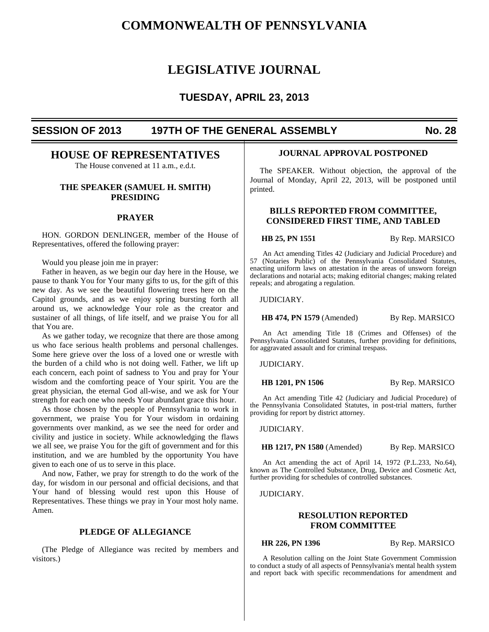# **COMMONWEALTH OF PENNSYLVANIA**

# **LEGISLATIVE JOURNAL**

# **TUESDAY, APRIL 23, 2013**

# **SESSION OF 2013 197TH OF THE GENERAL ASSEMBLY No. 28**

# **HOUSE OF REPRESENTATIVES**

The House convened at 11 a.m., e.d.t.

## **THE SPEAKER (SAMUEL H. SMITH) PRESIDING**

## **PRAYER**

 HON. GORDON DENLINGER, member of the House of Representatives, offered the following prayer:

Would you please join me in prayer:

 Father in heaven, as we begin our day here in the House, we pause to thank You for Your many gifts to us, for the gift of this new day. As we see the beautiful flowering trees here on the Capitol grounds, and as we enjoy spring bursting forth all around us, we acknowledge Your role as the creator and sustainer of all things, of life itself, and we praise You for all that You are.

 As we gather today, we recognize that there are those among us who face serious health problems and personal challenges. Some here grieve over the loss of a loved one or wrestle with the burden of a child who is not doing well. Father, we lift up each concern, each point of sadness to You and pray for Your wisdom and the comforting peace of Your spirit. You are the great physician, the eternal God all-wise, and we ask for Your strength for each one who needs Your abundant grace this hour.

 As those chosen by the people of Pennsylvania to work in government, we praise You for Your wisdom in ordaining governments over mankind, as we see the need for order and civility and justice in society. While acknowledging the flaws we all see, we praise You for the gift of government and for this institution, and we are humbled by the opportunity You have given to each one of us to serve in this place.

 And now, Father, we pray for strength to do the work of the day, for wisdom in our personal and official decisions, and that Your hand of blessing would rest upon this House of Representatives. These things we pray in Your most holy name. Amen.

## **PLEDGE OF ALLEGIANCE**

 (The Pledge of Allegiance was recited by members and visitors.)

#### **JOURNAL APPROVAL POSTPONED**

 The SPEAKER. Without objection, the approval of the Journal of Monday, April 22, 2013, will be postponed until printed.

## **BILLS REPORTED FROM COMMITTEE, CONSIDERED FIRST TIME, AND TABLED**

**HB 25, PN 1551** By Rep. MARSICO

An Act amending Titles 42 (Judiciary and Judicial Procedure) and 57 (Notaries Public) of the Pennsylvania Consolidated Statutes, enacting uniform laws on attestation in the areas of unsworn foreign declarations and notarial acts; making editorial changes; making related repeals; and abrogating a regulation.

JUDICIARY.

**HB 474, PN 1579** (Amended) By Rep. MARSICO

An Act amending Title 18 (Crimes and Offenses) of the Pennsylvania Consolidated Statutes, further providing for definitions, for aggravated assault and for criminal trespass.

JUDICIARY.

**HB 1201, PN 1506** By Rep. MARSICO

An Act amending Title 42 (Judiciary and Judicial Procedure) of the Pennsylvania Consolidated Statutes, in post-trial matters, further providing for report by district attorney.

JUDICIARY.

**HB 1217, PN 1580** (Amended) By Rep. MARSICO

An Act amending the act of April 14, 1972 (P.L.233, No.64), known as The Controlled Substance, Drug, Device and Cosmetic Act, further providing for schedules of controlled substances.

JUDICIARY.

## **RESOLUTION REPORTED FROM COMMITTEE**

**HR 226, PN 1396** By Rep. MARSICO

A Resolution calling on the Joint State Government Commission to conduct a study of all aspects of Pennsylvania's mental health system and report back with specific recommendations for amendment and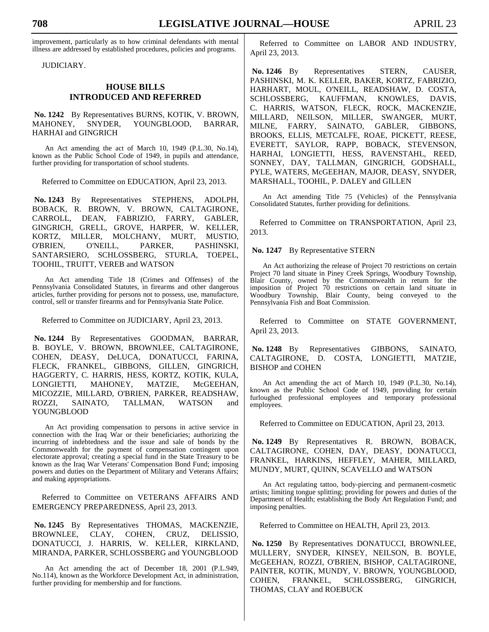improvement, particularly as to how criminal defendants with mental illness are addressed by established procedures, policies and programs.

JUDICIARY.

## **HOUSE BILLS INTRODUCED AND REFERRED**

 **No. 1242** By Representatives BURNS, KOTIK, V. BROWN, MAHONEY, SNYDER, YOUNGBLOOD, BARRAR, HARHAI and GINGRICH

An Act amending the act of March 10, 1949 (P.L.30, No.14), known as the Public School Code of 1949, in pupils and attendance, further providing for transportation of school students.

Referred to Committee on EDUCATION, April 23, 2013.

 **No. 1243** By Representatives STEPHENS, ADOLPH, BOBACK, R. BROWN, V. BROWN, CALTAGIRONE, CARROLL, DEAN, FABRIZIO, FARRY, GABLER, GINGRICH, GRELL, GROVE, HARPER, W. KELLER, KORTZ, MILLER, MOLCHANY, MURT, MUSTIO, O'BRIEN, O'NEILL, PARKER, PASHINSKI, SANTARSIERO, SCHLOSSBERG, STURLA, TOEPEL, TOOHIL, TRUITT, VEREB and WATSON

An Act amending Title 18 (Crimes and Offenses) of the Pennsylvania Consolidated Statutes, in firearms and other dangerous articles, further providing for persons not to possess, use, manufacture, control, sell or transfer firearms and for Pennsylvania State Police.

Referred to Committee on JUDICIARY, April 23, 2013.

 **No. 1244** By Representatives GOODMAN, BARRAR, B. BOYLE, V. BROWN, BROWNLEE, CALTAGIRONE, COHEN, DEASY, DeLUCA, DONATUCCI, FARINA, FLECK, FRANKEL, GIBBONS, GILLEN, GINGRICH, HAGGERTY, C. HARRIS, HESS, KORTZ, KOTIK, KULA, LONGIETTI, MAHONEY, MATZIE, McGEEHAN, MICOZZIE, MILLARD, O'BRIEN, PARKER, READSHAW, ROZZI, SAINATO, TALLMAN, WATSON and YOUNGBLOOD

An Act providing compensation to persons in active service in connection with the Iraq War or their beneficiaries; authorizing the incurring of indebtedness and the issue and sale of bonds by the Commonwealth for the payment of compensation contingent upon electorate approval; creating a special fund in the State Treasury to be known as the Iraq War Veterans' Compensation Bond Fund; imposing powers and duties on the Department of Military and Veterans Affairs; and making appropriations.

Referred to Committee on VETERANS AFFAIRS AND EMERGENCY PREPAREDNESS, April 23, 2013.

 **No. 1245** By Representatives THOMAS, MACKENZIE, BROWNLEE, CLAY, COHEN, CRUZ, DELISSIO, DONATUCCI, J. HARRIS, W. KELLER, KIRKLAND, MIRANDA, PARKER, SCHLOSSBERG and YOUNGBLOOD

An Act amending the act of December 18, 2001 (P.L.949, No.114), known as the Workforce Development Act, in administration, further providing for membership and for functions.

Referred to Committee on LABOR AND INDUSTRY, April 23, 2013.

 **No. 1246** By Representatives STERN, CAUSER, PASHINSKI, M. K. KELLER, BAKER, KORTZ, FABRIZIO, HARHART, MOUL, O'NEILL, READSHAW, D. COSTA, SCHLOSSBERG, KAUFFMAN, KNOWLES, DAVIS, C. HARRIS, WATSON, FLECK, ROCK, MACKENZIE, MILLARD, NEILSON, MILLER, SWANGER, MURT, MILNE, FARRY, SAINATO, GABLER, GIBBONS, BROOKS, ELLIS, METCALFE, ROAE, PICKETT, REESE, EVERETT, SAYLOR, RAPP, BOBACK, STEVENSON, HARHAI, LONGIETTI, HESS, RAVENSTAHL, REED, SONNEY, DAY, TALLMAN, GINGRICH, GODSHALL, PYLE, WATERS, McGEEHAN, MAJOR, DEASY, SNYDER, MARSHALL, TOOHIL, P. DALEY and GILLEN

An Act amending Title 75 (Vehicles) of the Pennsylvania Consolidated Statutes, further providing for definitions.

Referred to Committee on TRANSPORTATION, April 23, 2013.

 **No. 1247** By Representative STERN

An Act authorizing the release of Project 70 restrictions on certain Project 70 land situate in Piney Creek Springs, Woodbury Township, Blair County, owned by the Commonwealth in return for the imposition of Project 70 restrictions on certain land situate in Woodbury Township, Blair County, being conveyed to the Pennsylvania Fish and Boat Commission.

Referred to Committee on STATE GOVERNMENT, April 23, 2013.

 **No. 1248** By Representatives GIBBONS, SAINATO, CALTAGIRONE, D. COSTA, LONGIETTI, MATZIE, BISHOP and COHEN

An Act amending the act of March 10, 1949 (P.L.30, No.14), known as the Public School Code of 1949, providing for certain furloughed professional employees and temporary professional employees.

Referred to Committee on EDUCATION, April 23, 2013.

 **No. 1249** By Representatives R. BROWN, BOBACK, CALTAGIRONE, COHEN, DAY, DEASY, DONATUCCI, FRANKEL, HARKINS, HEFFLEY, MAHER, MILLARD, MUNDY, MURT, QUINN, SCAVELLO and WATSON

An Act regulating tattoo, body-piercing and permanent-cosmetic artists; limiting tongue splitting; providing for powers and duties of the Department of Health; establishing the Body Art Regulation Fund; and imposing penalties.

Referred to Committee on HEALTH, April 23, 2013.

 **No. 1250** By Representatives DONATUCCI, BROWNLEE, MULLERY, SNYDER, KINSEY, NEILSON, B. BOYLE, McGEEHAN, ROZZI, O'BRIEN, BISHOP, CALTAGIRONE, PAINTER, KOTIK, MUNDY, V. BROWN, YOUNGBLOOD, COHEN, FRANKEL, SCHLOSSBERG, GINGRICH, THOMAS, CLAY and ROEBUCK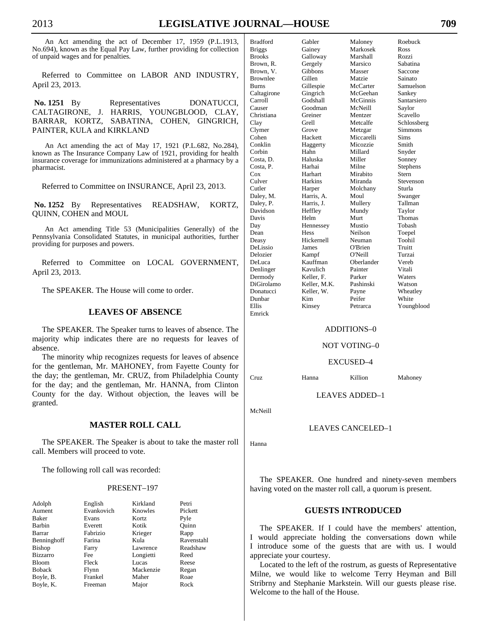An Act amending the act of December 17, 1959 (P.L.1913, No.694), known as the Equal Pay Law, further providing for collection of unpaid wages and for penalties.

Referred to Committee on LABOR AND INDUSTRY, April 23, 2013.

**No. 1251** By Representatives DONATUCCI, CALTAGIRONE, J. HARRIS, YOUNGBLOOD, CLAY, BARRAR, KORTZ, SABATINA, COHEN, GINGRICH, PAINTER, KULA and KIRKLAND

An Act amending the act of May 17, 1921 (P.L.682, No.284), known as The Insurance Company Law of 1921, providing for health insurance coverage for immunizations administered at a pharmacy by a pharmacist.

Referred to Committee on INSURANCE, April 23, 2013.

 **No. 1252** By Representatives READSHAW, KORTZ, QUINN, COHEN and MOUL

An Act amending Title 53 (Municipalities Generally) of the Pennsylvania Consolidated Statutes, in municipal authorities, further providing for purposes and powers.

Referred to Committee on LOCAL GOVERNMENT, April 23, 2013.

The SPEAKER. The House will come to order.

## **LEAVES OF ABSENCE**

 The SPEAKER. The Speaker turns to leaves of absence. The majority whip indicates there are no requests for leaves of absence.

 The minority whip recognizes requests for leaves of absence for the gentleman, Mr. MAHONEY, from Fayette County for the day; the gentleman, Mr. CRUZ, from Philadelphia County for the day; and the gentleman, Mr. HANNA, from Clinton County for the day. Without objection, the leaves will be granted.

#### **MASTER ROLL CALL**

 The SPEAKER. The Speaker is about to take the master roll call. Members will proceed to vote.

The following roll call was recorded:

#### PRESENT–197

| Adolph          | English    | Kirkland  | Petri      |
|-----------------|------------|-----------|------------|
| Aument          | Evankovich | Knowles   | Pickett    |
| Baker           | Evans      | Kortz     | Pyle       |
| Barbin          | Everett    | Kotik     | Ouinn      |
| Barrar          | Fabrizio   | Krieger   | Rapp       |
| Benninghoff     | Farina     | Kula      | Ravenstahl |
| Bishop          | Farry      | Lawrence  | Readshaw   |
| <b>Bizzarro</b> | Fee        | Longietti | Reed       |
| <b>Bloom</b>    | Fleck      | Lucas     | Reese      |
| <b>Boback</b>   | Flynn      | Mackenzie | Regan      |
| Boyle, B.       | Frankel    | Maher     | Roae       |
| Boyle, K.       | Freeman    | Major     | Rock       |

| <b>Bradford</b> | Gabler       | Maloney    | Roebuck     |
|-----------------|--------------|------------|-------------|
| <b>Briggs</b>   | Gainey       | Markosek   | Ross        |
| <b>Brooks</b>   | Galloway     | Marshall   | Rozzi       |
| Brown, R.       | Gergely      | Marsico    | Sabatina    |
| Brown, V.       | Gibbons      | Masser     | Saccone     |
| <b>Brownlee</b> | Gillen       | Matzie     | Sainato     |
| <b>Burns</b>    | Gillespie    | McCarter   | Samuelson   |
| Caltagirone     | Gingrich     | McGeehan   | Sankey      |
| Carroll         | Godshall     | McGinnis   | Santarsiero |
| Causer          | Goodman      | McNeill    | Saylor      |
| Christiana      | Greiner      | Mentzer    | Scavello    |
| Clay            | Grell        | Metcalfe   | Schlossberg |
| Clymer          | Grove        | Metzgar    | Simmons     |
| Cohen           | Hackett      | Miccarelli | Sims        |
| Conklin         | Haggerty     | Micozzie   | Smith       |
| Corbin          | Hahn         | Millard    | Snyder      |
| Costa, D.       | Haluska      | Miller     | Sonney      |
| Costa, P.       | Harhai       | Milne      | Stephens    |
| Cox             | Harhart      | Mirabito   | Stern       |
| Culver          | Harkins      | Miranda    | Stevenson   |
| Cutler          | Harper       | Molchany   | Sturla      |
| Daley, M.       | Harris, A.   | Moul       | Swanger     |
| Daley, P.       | Harris, J.   | Mullery    | Tallman     |
| Davidson        | Heffley      | Mundy      | Taylor      |
| Davis           | Helm         | Murt       | Thomas      |
| Day             | Hennessey    | Mustio     | Tobash      |
| Dean            | Hess         | Neilson    | Toepel      |
| Deasy           | Hickernell   | Neuman     | Toohil      |
| <b>DeLissio</b> | James        | O'Brien    | Truitt      |
| Delozier        | Kampf        | O'Neill    | Turzai      |
| DeLuca          | Kauffman     | Oberlander | Vereb       |
| Denlinger       | Kavulich     | Painter    | Vitali      |
| Dermody         | Keller, F.   | Parker     | Waters      |
| DiGirolamo      | Keller, M.K. | Pashinski  | Watson      |
| Donatucci       | Keller, W.   | Payne      | Wheatley    |
| Dunbar          | Kim          | Peifer     | White       |
| Ellis           | Kinsey       | Petrarca   | Youngblood  |
| Emrick          |              |            |             |

#### ADDITIONS–0

NOT VOTING–0

EXCUSED–4

Cruz Hanna Killion Mahoney

LEAVES ADDED–1

McNeill

#### LEAVES CANCELED–1

Hanna

 The SPEAKER. One hundred and ninety-seven members having voted on the master roll call, a quorum is present.

### **GUESTS INTRODUCED**

 The SPEAKER. If I could have the members' attention, I would appreciate holding the conversations down while I introduce some of the guests that are with us. I would appreciate your courtesy.

 Located to the left of the rostrum, as guests of Representative Milne, we would like to welcome Terry Heyman and Bill Stribrny and Stephanie Markstein. Will our guests please rise. Welcome to the hall of the House.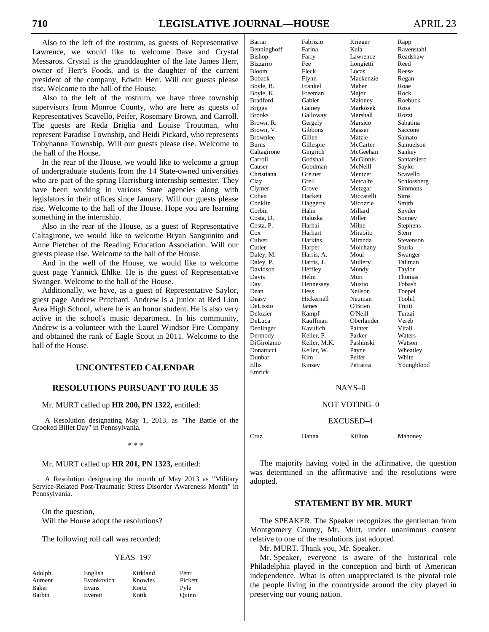Also to the left of the rostrum, as guests of Representative Lawrence, we would like to welcome Dave and Crystal Messaros. Crystal is the granddaughter of the late James Herr, owner of Herr's Foods, and is the daughter of the current president of the company, Edwin Herr. Will our guests please rise. Welcome to the hall of the House.

 Also to the left of the rostrum, we have three township supervisors from Monroe County, who are here as guests of Representatives Scavello, Peifer, Rosemary Brown, and Carroll. The guests are Reda Briglia and Louise Troutman, who represent Paradise Township, and Heidi Pickard, who represents Tobyhanna Township. Will our guests please rise. Welcome to the hall of the House.

 In the rear of the House, we would like to welcome a group of undergraduate students from the 14 State-owned universities who are part of the spring Harrisburg internship semester. They have been working in various State agencies along with legislators in their offices since January. Will our guests please rise. Welcome to the hall of the House. Hope you are learning something in the internship.

 Also in the rear of the House, as a guest of Representative Caltagirone, we would like to welcome Bryan Sanguinito and Anne Pletcher of the Reading Education Association. Will our guests please rise. Welcome to the hall of the House.

 And in the well of the House, we would like to welcome guest page Yannick Ehlke. He is the guest of Representative Swanger. Welcome to the hall of the House.

 Additionally, we have, as a guest of Representative Saylor, guest page Andrew Pritchard. Andrew is a junior at Red Lion Area High School, where he is an honor student. He is also very active in the school's music department. In his community, Andrew is a volunteer with the Laurel Windsor Fire Company and obtained the rank of Eagle Scout in 2011. Welcome to the hall of the House.

#### **UNCONTESTED CALENDAR**

## **RESOLUTIONS PURSUANT TO RULE 35**

Mr. MURT called up **HR 200, PN 1322,** entitled:

A Resolution designating May 1, 2013, as "The Battle of the Crooked Billet Day" in Pennsylvania.

\* \* \*

Mr. MURT called up **HR 201, PN 1323,** entitled:

A Resolution designating the month of May 2013 as "Military Service-Related Post-Traumatic Stress Disorder Awareness Month" in Pennsylvania.

 On the question, Will the House adopt the resolutions?

The following roll call was recorded:

#### YEAS–197

| Adolph | English    | Kirkland | Petri   |
|--------|------------|----------|---------|
| Aument | Evankovich | Knowles  | Pickett |
| Baker  | Evans      | Kortz    | Pyle    |
| Barbin | Everett    | Kotik    | Ouinn   |

| Barrar          | Fabrizio     | Krieger    | Rapp        |
|-----------------|--------------|------------|-------------|
| Benninghoff     | Farina       | Kula       | Ravenstahl  |
| Bishop          | Farry        | Lawrence   | Readshaw    |
| <b>Bizzarro</b> | Fee          | Longietti  | Reed        |
| <b>Bloom</b>    | Fleck        | Lucas      | Reese       |
| <b>Boback</b>   | Flynn        | Mackenzie  | Regan       |
| Boyle, B.       | Frankel      | Maher      | Roae        |
| Boyle, K.       | Freeman      | Major      | Rock        |
| <b>Bradford</b> | Gabler       | Maloney    | Roebuck     |
| <b>Briggs</b>   | Gainey       | Markosek   | Ross        |
| <b>Brooks</b>   | Galloway     | Marshall   | Rozzi       |
| Brown, R.       | Gergely      | Marsico    | Sabatina    |
| Brown, V.       | Gibbons      | Masser     | Saccone     |
| Brownlee        | Gillen       | Matzie     | Sainato     |
| <b>Burns</b>    | Gillespie    | McCarter   | Samuelson   |
| Caltagirone     | Gingrich     | McGeehan   | Sankey      |
| Carroll         | Godshall     | McGinnis   | Santarsiero |
| Causer          | Goodman      | McNeill    | Saylor      |
| Christiana      | Greiner      | Mentzer    | Scavello    |
| Clay            | Grell        | Metcalfe   | Schlossberg |
| Clymer          | Grove        | Metzgar    | Simmons     |
| Cohen           | Hackett      | Miccarelli | Sims        |
| Conklin         | Haggerty     | Micozzie   | Smith       |
| Corbin          | Hahn         | Millard    | Snyder      |
| Costa, D.       | Haluska      | Miller     | Sonney      |
| Costa, P.       | Harhai       | Milne      | Stephens    |
| $\cos$          | Harhart      | Mirabito   | Stern       |
| Culver          | Harkins      | Miranda    | Stevenson   |
| Cutler          | Harper       | Molchany   | Sturla      |
| Daley, M.       | Harris, A.   | Moul       | Swanger     |
| Daley, P.       | Harris, J.   | Mullery    | Tallman     |
| Davidson        | Heffley      | Mundy      | Taylor      |
| Davis           | Helm         | Murt       | Thomas      |
| Day             | Hennessey    | Mustio     | Tobash      |
| Dean            | Hess         | Neilson    | Toepel      |
| Deasy           | Hickernell   | Neuman     | Toohil      |
| DeLissio        | James        | O'Brien    | Truitt      |
| Delozier        | Kampf        | O'Neill    | Turzai      |
| DeLuca          | Kauffman     | Oberlander | Vereb       |
| Denlinger       | Kavulich     | Painter    | Vitali      |
| Dermody         | Keller, F.   | Parker     | Waters      |
| DiGirolamo      | Keller, M.K. | Pashinski  | Watson      |
| Donatucci       | Keller, W.   | Payne      | Wheatley    |
| Dunbar          | Kim          | Peifer     | White       |
| Ellis           | Kinsey       | Petrarca   | Youngblood  |
| Emrick          |              |            |             |

#### NAYS–0

#### NOT VOTING–0

#### EXCUSED–4

Cruz Hanna Killion Mahoney

 The majority having voted in the affirmative, the question was determined in the affirmative and the resolutions were adopted.

#### **STATEMENT BY MR. MURT**

 The SPEAKER. The Speaker recognizes the gentleman from Montgomery County, Mr. Murt, under unanimous consent relative to one of the resolutions just adopted.

Mr. MURT. Thank you, Mr. Speaker.

 Mr. Speaker, everyone is aware of the historical role Philadelphia played in the conception and birth of American independence. What is often unappreciated is the pivotal role the people living in the countryside around the city played in preserving our young nation.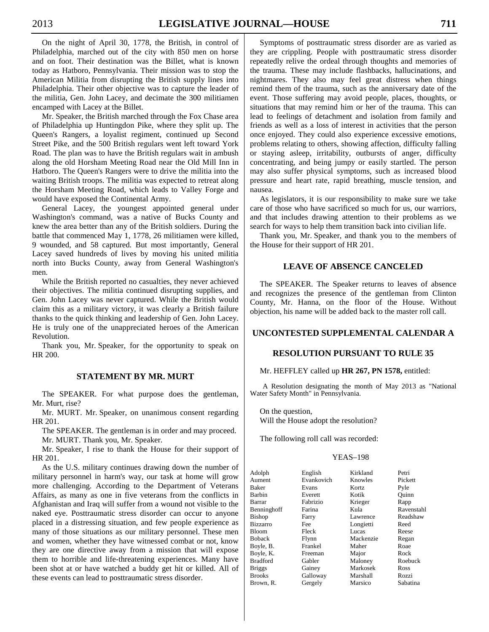On the night of April 30, 1778, the British, in control of Philadelphia, marched out of the city with 850 men on horse and on foot. Their destination was the Billet, what is known today as Hatboro, Pennsylvania. Their mission was to stop the American Militia from disrupting the British supply lines into Philadelphia. Their other objective was to capture the leader of the militia, Gen. John Lacey, and decimate the 300 militiamen encamped with Lacey at the Billet.

 Mr. Speaker, the British marched through the Fox Chase area of Philadelphia up Huntingdon Pike, where they split up. The Queen's Rangers, a loyalist regiment, continued up Second Street Pike, and the 500 British regulars went left toward York Road. The plan was to have the British regulars wait in ambush along the old Horsham Meeting Road near the Old Mill Inn in Hatboro. The Queen's Rangers were to drive the militia into the waiting British troops. The militia was expected to retreat along the Horsham Meeting Road, which leads to Valley Forge and would have exposed the Continental Army.

 General Lacey, the youngest appointed general under Washington's command, was a native of Bucks County and knew the area better than any of the British soldiers. During the battle that commenced May 1, 1778, 26 militiamen were killed, 9 wounded, and 58 captured. But most importantly, General Lacey saved hundreds of lives by moving his united militia north into Bucks County, away from General Washington's men.

 While the British reported no casualties, they never achieved their objectives. The militia continued disrupting supplies, and Gen. John Lacey was never captured. While the British would claim this as a military victory, it was clearly a British failure thanks to the quick thinking and leadership of Gen. John Lacey. He is truly one of the unappreciated heroes of the American Revolution.

 Thank you, Mr. Speaker, for the opportunity to speak on HR 200.

#### **STATEMENT BY MR. MURT**

 The SPEAKER. For what purpose does the gentleman, Mr. Murt, rise?

 Mr. MURT. Mr. Speaker, on unanimous consent regarding HR 201.

 The SPEAKER. The gentleman is in order and may proceed. Mr. MURT. Thank you, Mr. Speaker.

 Mr. Speaker, I rise to thank the House for their support of HR 201.

 As the U.S. military continues drawing down the number of military personnel in harm's way, our task at home will grow more challenging. According to the Department of Veterans Affairs, as many as one in five veterans from the conflicts in Afghanistan and Iraq will suffer from a wound not visible to the naked eye. Posttraumatic stress disorder can occur to anyone placed in a distressing situation, and few people experience as many of those situations as our military personnel. These men and women, whether they have witnessed combat or not, know they are one directive away from a mission that will expose them to horrible and life-threatening experiences. Many have been shot at or have watched a buddy get hit or killed. All of these events can lead to posttraumatic stress disorder.

 Symptoms of posttraumatic stress disorder are as varied as they are crippling. People with posttraumatic stress disorder repeatedly relive the ordeal through thoughts and memories of the trauma. These may include flashbacks, hallucinations, and nightmares. They also may feel great distress when things remind them of the trauma, such as the anniversary date of the event. Those suffering may avoid people, places, thoughts, or situations that may remind him or her of the trauma. This can lead to feelings of detachment and isolation from family and friends as well as a loss of interest in activities that the person once enjoyed. They could also experience excessive emotions, problems relating to others, showing affection, difficulty falling or staying asleep, irritability, outbursts of anger, difficulty concentrating, and being jumpy or easily startled. The person may also suffer physical symptoms, such as increased blood pressure and heart rate, rapid breathing, muscle tension, and nausea.

 As legislators, it is our responsibility to make sure we take care of those who have sacrificed so much for us, our warriors, and that includes drawing attention to their problems as we search for ways to help them transition back into civilian life.

 Thank you, Mr. Speaker, and thank you to the members of the House for their support of HR 201.

#### **LEAVE OF ABSENCE CANCELED**

 The SPEAKER. The Speaker returns to leaves of absence and recognizes the presence of the gentleman from Clinton County, Mr. Hanna, on the floor of the House. Without objection, his name will be added back to the master roll call.

### **UNCONTESTED SUPPLEMENTAL CALENDAR A**

#### **RESOLUTION PURSUANT TO RULE 35**

#### Mr. HEFFLEY called up **HR 267, PN 1578,** entitled:

A Resolution designating the month of May 2013 as "National Water Safety Month" in Pennsylvania.

 On the question, Will the House adopt the resolution?

The following roll call was recorded:

#### YEAS–198

| Adolph        | English    | Kirkland  | Petri      |
|---------------|------------|-----------|------------|
| Aument        | Evankovich | Knowles   | Pickett    |
| Baker         | Evans      | Kortz     | Pyle       |
| Barbin        | Everett    | Kotik     | Ouinn      |
| Barrar        | Fabrizio   | Krieger   | Rapp       |
| Benninghoff   | Farina     | Kula      | Ravenstahl |
| Bishop        | Farry      | Lawrence  | Readshaw   |
| Bizzarro      | Fee        | Longietti | Reed       |
| Bloom         | Fleck      | Lucas     | Reese      |
| Boback        | Flynn      | Mackenzie | Regan      |
| Boyle, B.     | Frankel    | Maher     | Roae       |
| Boyle, K.     | Freeman    | Major     | Rock       |
| Bradford      | Gabler     | Maloney   | Roebuck    |
| Briggs        | Gainey     | Markosek  | Ross       |
| <b>Brooks</b> | Galloway   | Marshall  | Rozzi      |
| Brown, R.     | Gergely    | Marsico   | Sabatina   |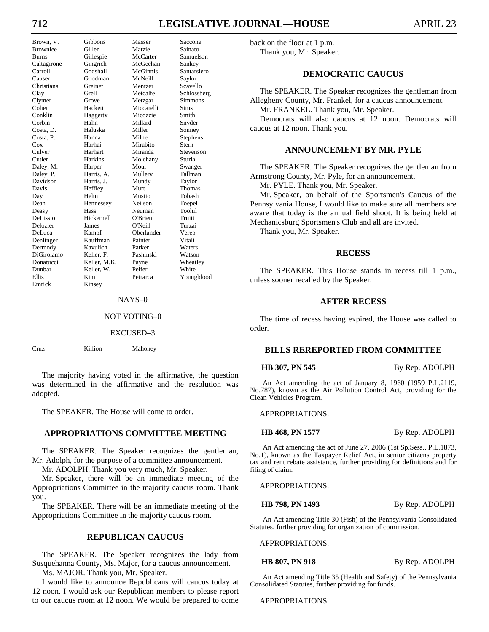# **712 LEGISLATIVE JOURNAL—HOUSE** APRIL 23

Emrick

Brown, V. Gibbons Masser Saccone Brownlee Gillen Matzie Sainato<br>
Burns Gillespie McCarter Samuels Burns Gillespie McCarter Samuelson<br>Caltagirone Gingrich McGeehan Sankey Caltagirone Gingrich McGeehan Sankey Carroll Godshall McGinnis Santarsiero Causer Goodman McNeill Saylor Christiana Greiner Mentzer Scavello Clay Grell Metcalfe Schlossberg Clymer Grove Metzgar Simmons Cohen Hackett Miccarelli Sims Conklin Haggerty Micozzie Smith Corbin Hahn Millard Snyder Costa, D. Haluska Miller Sonney Costa, P. Hanna Milne Stephens Cox Harhai Mirabito Stern Culver Harhart Miranda Stevenson Cutler Harkins Molchany Sturla<br>
Daley, M. Harper Moul Swanger Daley, M. Harper Moul Daley, P. Harris, A. Mullery Tallman Davidson Harris, J. Mundy Taylor Davis Heffley Murt Thomas<br>
Day Helm Mustio Tobash Dean Hennessey Neilson Toepel Deasy Hess Neuman Toohil DeLissio Hickernell O'Brien Truitt Delozier James O'Neill Turzai DeLuca Kampf Oberlander Vereb Denlinger Kauffman Painter Vitali Dermody Kavulich Parker Waters<br>DiGirolamo Keller, F. Pashinski Watsor DiGirolamo Keller, F. Pashinski Watson Donatucci Keller, M.K. Payne Wheatley Dunbar Keller, W. Peifer White Kim Petrarca Youngblood<br>Kinsey

#### NAYS–0

## NOT VOTING–0

#### EXCUSED–3

Cruz Killion Mahoney

**Tobash** 

 The majority having voted in the affirmative, the question was determined in the affirmative and the resolution was adopted.

The SPEAKER. The House will come to order.

## **APPROPRIATIONS COMMITTEE MEETING**

 The SPEAKER. The Speaker recognizes the gentleman, Mr. Adolph, for the purpose of a committee announcement.

Mr. ADOLPH. Thank you very much, Mr. Speaker.

 Mr. Speaker, there will be an immediate meeting of the Appropriations Committee in the majority caucus room. Thank you.

 The SPEAKER. There will be an immediate meeting of the Appropriations Committee in the majority caucus room.

#### **REPUBLICAN CAUCUS**

 The SPEAKER. The Speaker recognizes the lady from Susquehanna County, Ms. Major, for a caucus announcement. Ms. MAJOR. Thank you, Mr. Speaker.

 I would like to announce Republicans will caucus today at 12 noon. I would ask our Republican members to please report to our caucus room at 12 noon. We would be prepared to come

back on the floor at 1 p.m. Thank you, Mr. Speaker.

## **DEMOCRATIC CAUCUS**

 The SPEAKER. The Speaker recognizes the gentleman from Allegheny County, Mr. Frankel, for a caucus announcement. Mr. FRANKEL. Thank you, Mr. Speaker.

 Democrats will also caucus at 12 noon. Democrats will caucus at 12 noon. Thank you.

### **ANNOUNCEMENT BY MR. PYLE**

 The SPEAKER. The Speaker recognizes the gentleman from Armstrong County, Mr. Pyle, for an announcement.

Mr. PYLE. Thank you, Mr. Speaker.

 Mr. Speaker, on behalf of the Sportsmen's Caucus of the Pennsylvania House, I would like to make sure all members are aware that today is the annual field shoot. It is being held at Mechanicsburg Sportsmen's Club and all are invited.

Thank you, Mr. Speaker.

#### **RECESS**

 The SPEAKER. This House stands in recess till 1 p.m., unless sooner recalled by the Speaker.

#### **AFTER RECESS**

 The time of recess having expired, the House was called to order.

#### **BILLS REREPORTED FROM COMMITTEE**

**HB 307, PN 545** By Rep. ADOLPH

An Act amending the act of January 8, 1960 (1959 P.L.2119, No.787), known as the Air Pollution Control Act, providing for the Clean Vehicles Program.

APPROPRIATIONS.

**HB 468, PN 1577** By Rep. ADOLPH

An Act amending the act of June 27, 2006 (1st Sp.Sess., P.L.1873, No.1), known as the Taxpayer Relief Act, in senior citizens property tax and rent rebate assistance, further providing for definitions and for filing of claim.

APPROPRIATIONS.

**HB 798, PN 1493** By Rep. ADOLPH

An Act amending Title 30 (Fish) of the Pennsylvania Consolidated Statutes, further providing for organization of commission.

APPROPRIATIONS.

#### **HB 807, PN 918** By Rep. ADOLPH

An Act amending Title 35 (Health and Safety) of the Pennsylvania Consolidated Statutes, further providing for funds.

APPROPRIATIONS.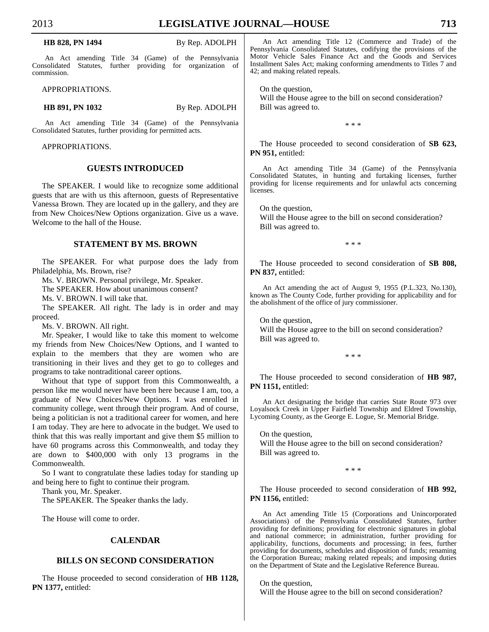An Act amending Title 34 (Game) of the Pennsylvania Consolidated Statutes, further providing for organization of commission.

APPROPRIATIONS.

**HB 891, PN 1032** By Rep. ADOLPH

An Act amending Title 34 (Game) of the Pennsylvania Consolidated Statutes, further providing for permitted acts.

APPROPRIATIONS.

#### **GUESTS INTRODUCED**

 The SPEAKER. I would like to recognize some additional guests that are with us this afternoon, guests of Representative Vanessa Brown. They are located up in the gallery, and they are from New Choices/New Options organization. Give us a wave. Welcome to the hall of the House.

#### **STATEMENT BY MS. BROWN**

 The SPEAKER. For what purpose does the lady from Philadelphia, Ms. Brown, rise?

Ms. V. BROWN. Personal privilege, Mr. Speaker.

The SPEAKER. How about unanimous consent?

Ms. V. BROWN. I will take that.

 The SPEAKER. All right. The lady is in order and may proceed.

Ms. V. BROWN. All right.

 Mr. Speaker, I would like to take this moment to welcome my friends from New Choices/New Options, and I wanted to explain to the members that they are women who are transitioning in their lives and they get to go to colleges and programs to take nontraditional career options.

 Without that type of support from this Commonwealth, a person like me would never have been here because I am, too, a graduate of New Choices/New Options. I was enrolled in community college, went through their program. And of course, being a politician is not a traditional career for women, and here I am today. They are here to advocate in the budget. We used to think that this was really important and give them \$5 million to have 60 programs across this Commonwealth, and today they are down to \$400,000 with only 13 programs in the Commonwealth.

 So I want to congratulate these ladies today for standing up and being here to fight to continue their program.

Thank you, Mr. Speaker.

The SPEAKER. The Speaker thanks the lady.

The House will come to order.

### **CALENDAR**

## **BILLS ON SECOND CONSIDERATION**

 The House proceeded to second consideration of **HB 1128, PN 1377,** entitled:

An Act amending Title 12 (Commerce and Trade) of the Pennsylvania Consolidated Statutes, codifying the provisions of the Motor Vehicle Sales Finance Act and the Goods and Services Installment Sales Act; making conforming amendments to Titles 7 and 42; and making related repeals.

 On the question, Will the House agree to the bill on second consideration? Bill was agreed to.

\* \* \*

 The House proceeded to second consideration of **SB 623,**  PN 951, entitled:

An Act amending Title 34 (Game) of the Pennsylvania Consolidated Statutes, in hunting and furtaking licenses, further providing for license requirements and for unlawful acts concerning licenses.

 On the question, Will the House agree to the bill on second consideration? Bill was agreed to.

\* \* \*

 The House proceeded to second consideration of **SB 808,**  PN 837, entitled:

An Act amending the act of August 9, 1955 (P.L.323, No.130), known as The County Code, further providing for applicability and for the abolishment of the office of jury commissioner.

 On the question, Will the House agree to the bill on second consideration? Bill was agreed to.

\* \* \*

 The House proceeded to second consideration of **HB 987, PN 1151,** entitled:

An Act designating the bridge that carries State Route 973 over Loyalsock Creek in Upper Fairfield Township and Eldred Township, Lycoming County, as the George E. Logue, Sr. Memorial Bridge.

 On the question, Will the House agree to the bill on second consideration? Bill was agreed to.

\* \* \*

 The House proceeded to second consideration of **HB 992, PN 1156,** entitled:

An Act amending Title 15 (Corporations and Unincorporated Associations) of the Pennsylvania Consolidated Statutes, further providing for definitions; providing for electronic signatures in global and national commerce; in administration, further providing for applicability, functions, documents and processing; in fees, further providing for documents, schedules and disposition of funds; renaming the Corporation Bureau; making related repeals; and imposing duties on the Department of State and the Legislative Reference Bureau.

 On the question, Will the House agree to the bill on second consideration?

## **HB 828, PN 1494** By Rep. ADOLPH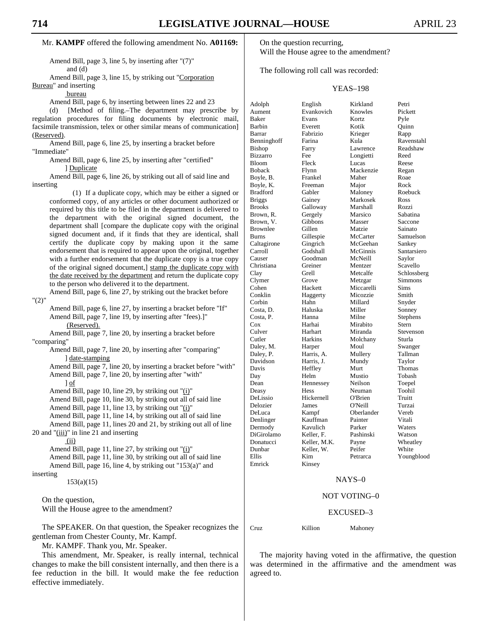#### Mr. **KAMPF** offered the following amendment No. **A01169:**

Amend Bill, page 3, line 5, by inserting after "(7)" and (d)

Amend Bill, page 3, line 15, by striking out "Corporation

Bureau" and inserting bureau

Amend Bill, page 6, by inserting between lines 22 and 23

(d) [Method of filing.–The department may prescribe by regulation procedures for filing documents by electronic mail, facsimile transmission, telex or other similar means of communication] (Reserved).

Amend Bill, page 6, line 25, by inserting a bracket before "Immediate"

Amend Bill, page 6, line 25, by inserting after "certified" ] Duplicate

Amend Bill, page 6, line 26, by striking out all of said line and inserting

(1) If a duplicate copy, which may be either a signed or conformed copy, of any articles or other document authorized or required by this title to be filed in the department is delivered to the department with the original signed document, the department shall [compare the duplicate copy with the original signed document and, if it finds that they are identical, shall certify the duplicate copy by making upon it the same endorsement that is required to appear upon the original, together with a further endorsement that the duplicate copy is a true copy of the original signed document,] stamp the duplicate copy with the date received by the department and return the duplicate copy to the person who delivered it to the department.

"(2)"

Amend Bill, page 6, line 27, by inserting a bracket before "If" Amend Bill, page 7, line 19, by inserting after "fees).]" (Reserved).

Amend Bill, page 6, line 27, by striking out the bracket before

Amend Bill, page 7, line 20, by inserting a bracket before "comparing"

Amend Bill, page 7, line 20, by inserting after "comparing" ] date-stamping

Amend Bill, page 7, line 20, by inserting a bracket before "with" Amend Bill, page 7, line 20, by inserting after "with"

] of

Amend Bill, page 10, line 29, by striking out "(i)"

Amend Bill, page 10, line 30, by striking out all of said line

Amend Bill, page 11, line 13, by striking out "(i)"

Amend Bill, page 11, line 14, by striking out all of said line

Amend Bill, page 11, lines 20 and 21, by striking out all of line 20 and "(iii)" in line 21 and inserting

(ii)

Amend Bill, page 11, line 27, by striking out "(i)" Amend Bill, page 11, line 30, by striking out all of said line Amend Bill, page 16, line 4, by striking out "153(a)" and inserting

153(a)(15)

 On the question, Will the House agree to the amendment?

 The SPEAKER. On that question, the Speaker recognizes the gentleman from Chester County, Mr. Kampf.

Mr. KAMPF. Thank you, Mr. Speaker.

 This amendment, Mr. Speaker, is really internal, technical changes to make the bill consistent internally, and then there is a fee reduction in the bill. It would make the fee reduction effective immediately.

 On the question recurring, Will the House agree to the amendment?

The following roll call was recorded:

#### YEAS–198

| Adolph          | English      | Kirkland   | Petri       |
|-----------------|--------------|------------|-------------|
| Aument          | Evankovich   | Knowles    | Pickett     |
| Baker           | Evans        | Kortz      | Pyle        |
| Barbin          | Everett      | Kotik      | Quinn       |
| Barrar          | Fabrizio     | Krieger    | Rapp        |
| Benninghoff     | Farina       | Kula       | Ravenstahl  |
| Bishop          | Farry        | Lawrence   | Readshaw    |
| <b>Bizzarro</b> | Fee          | Longietti  | Reed        |
| <b>Bloom</b>    | Fleck        | Lucas      | Reese       |
| <b>Boback</b>   | Flynn        | Mackenzie  | Regan       |
| Boyle, B.       | Frankel      | Maher      | Roae        |
| Boyle, K.       | Freeman      | Major      | Rock        |
| <b>Bradford</b> | Gabler       | Maloney    | Roebuck     |
| <b>Briggs</b>   | Gainey       | Markosek   | Ross        |
| Brooks          | Galloway     | Marshall   | Rozzi       |
| Brown, R.       | Gergely      | Marsico    | Sabatina    |
| Brown, V.       | Gibbons      | Masser     | Saccone     |
| <b>Brownlee</b> | Gillen       | Matzie     | Sainato     |
| <b>Burns</b>    | Gillespie    | McCarter   | Samuelson   |
| Caltagirone     | Gingrich     | McGeehan   | Sankey      |
| Carroll         | Godshall     | McGinnis   | Santarsiero |
| Causer          | Goodman      | McNeill    | Saylor      |
| Christiana      | Greiner      | Mentzer    | Scavello    |
| Clay            | Grell        | Metcalfe   | Schlossberg |
| Clymer          | Grove        | Metzgar    | Simmons     |
| Cohen           | Hackett      | Miccarelli | Sims        |
| Conklin         | Haggerty     | Micozzie   | Smith       |
| Corbin          | Hahn         | Millard    | Snyder      |
| Costa, D.       | Haluska      | Miller     | Sonney      |
| Costa, P.       | Hanna        | Milne      | Stephens    |
| $\cos$          | Harhai       | Mirabito   | Stern       |
| Culver          | Harhart      | Miranda    | Stevenson   |
| Cutler          | Harkins      | Molchany   | Sturla      |
| Daley, M.       | Harper       | Moul       | Swanger     |
| Daley, P.       | Harris, A.   | Mullery    | Tallman     |
| Davidson        | Harris, J.   | Mundy      | Taylor      |
| Davis           | Heffley      | Murt       | Thomas      |
| Day             | Helm         | Mustio     | Tobash      |
| Dean            | Hennessey    | Neilson    | Toepel      |
| Deasy           | Hess         | Neuman     | Toohil      |
| DeLissio        | Hickernell   | O'Brien    | Truitt      |
| Delozier        | James        | O'Neill    | Turzai      |
| DeLuca          | Kampf        | Oberlander | Vereb       |
| Denlinger       | Kauffman     | Painter    | Vitali      |
| Dermody         | Kavulich     | Parker     | Waters      |
| DiGirolamo      | Keller, F.   | Pashinski  | Watson      |
| Donatucci       | Keller, M.K. | Payne      | Wheatley    |
| Dunbar          | Keller, W.   | Peifer     | White       |
| Ellis           | Kim          | Petrarca   | Youngblood  |
| Emrick          | Kinsey       |            |             |
|                 |              |            |             |

#### NAYS–0

#### NOT VOTING–0

#### EXCUSED–3

Cruz Killion Mahoney

 The majority having voted in the affirmative, the question was determined in the affirmative and the amendment was agreed to.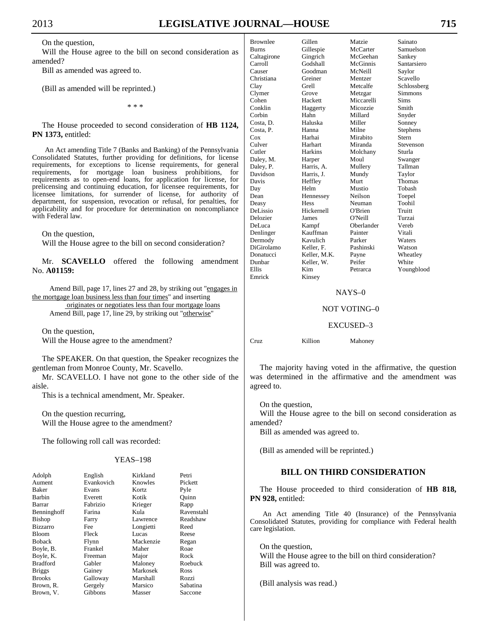# 2013 **LEGISLATIVE JOURNAL—HOUSE 715**

On the question,

 Will the House agree to the bill on second consideration as amended?

Bill as amended was agreed to.

(Bill as amended will be reprinted.)

\* \* \*

 The House proceeded to second consideration of **HB 1124, PN 1373,** entitled:

An Act amending Title 7 (Banks and Banking) of the Pennsylvania Consolidated Statutes, further providing for definitions, for license requirements, for exceptions to license requirements, for general requirements, for mortgage loan business prohibitions, for requirements as to open-end loans, for application for license, for prelicensing and continuing education, for licensee requirements, for licensee limitations, for surrender of license, for authority of department, for suspension, revocation or refusal, for penalties, for applicability and for procedure for determination on noncompliance with Federal law.

On the question,

Will the House agree to the bill on second consideration?

 Mr. **SCAVELLO** offered the following amendment No. **A01159:**

Amend Bill, page 17, lines 27 and 28, by striking out "engages in the mortgage loan business less than four times" and inserting originates or negotiates less than four mortgage loans Amend Bill, page 17, line 29, by striking out "otherwise"

 On the question, Will the House agree to the amendment?

 The SPEAKER. On that question, the Speaker recognizes the gentleman from Monroe County, Mr. Scavello.

 Mr. SCAVELLO. I have not gone to the other side of the aisle.

This is a technical amendment, Mr. Speaker.

 On the question recurring, Will the House agree to the amendment?

The following roll call was recorded:

#### YEAS–198

| Adolph          | English    | Kirkland  | Petri      |
|-----------------|------------|-----------|------------|
| Aument          | Evankovich | Knowles   | Pickett    |
| Baker           | Evans      | Kortz     | Pyle       |
| Barbin          | Everett    | Kotik     | Ouinn      |
| Barrar          | Fabrizio   | Krieger   | Rapp       |
| Benninghoff     | Farina     | Kula      | Ravenstahl |
| <b>Bishop</b>   | Farry      | Lawrence  | Readshaw   |
| <b>Bizzarro</b> | Fee        | Longietti | Reed       |
| Bloom           | Fleck      | Lucas     | Reese      |
| <b>Boback</b>   | Flynn      | Mackenzie | Regan      |
| Boyle, B.       | Frankel    | Maher     | Roae       |
| Boyle, K.       | Freeman    | Major     | Rock       |
| <b>Bradford</b> | Gabler     | Maloney   | Roebuck    |
| <b>Briggs</b>   | Gainey     | Markosek  | Ross       |
| <b>Brooks</b>   | Galloway   | Marshall  | Rozzi      |
| Brown, R.       | Gergely    | Marsico   | Sabatina   |
| Brown, V.       | Gibbons    | Masser    | Saccone    |

| Brownlee     | Gillen       | Matzie     | Sainato         |
|--------------|--------------|------------|-----------------|
| <b>Burns</b> | Gillespie    | McCarter   | Samuelson       |
| Caltagirone  | Gingrich     | McGeehan   | Sankey          |
| Carroll      | Godshall     | McGinnis   | Santarsiero     |
| Causer       | Goodman      | McNeill    | Saylor          |
| Christiana   | Greiner      | Mentzer    | Scavello        |
| Clay         | Grell        | Metcalfe   | Schlossberg     |
| Clymer       | Grove        | Metzgar    | Simmons         |
| Cohen        | Hackett      | Miccarelli | Sims            |
| Conklin      | Haggerty     | Micozzie   | Smith           |
| Corbin       | Hahn         | Millard    | Snyder          |
| Costa, D.    | Haluska      | Miller     | Sonney          |
| Costa, P.    | Hanna        | Milne      | <b>Stephens</b> |
| Cox          | Harhai       | Mirabito   | Stern           |
| Culver       | Harhart      | Miranda    | Stevenson       |
| Cutler       | Harkins      | Molchany   | Sturla          |
| Daley, M.    | Harper       | Moul       | Swanger         |
| Daley, P.    | Harris, A.   | Mullery    | Tallman         |
| Davidson     | Harris, J.   | Mundy      | Taylor          |
| Davis        | Heffley      | Murt       | Thomas          |
| Day          | Helm         | Mustio     | Tobash          |
| Dean         | Hennessey    | Neilson    | Toepel          |
| Deasy        | <b>Hess</b>  | Neuman     | Toohil          |
| DeLissio     | Hickernell   | O'Brien    | Truitt          |
| Delozier     | James        | O'Neill    | Turzai          |
| DeLuca       | Kampf        | Oberlander | Vereb           |
| Denlinger    | Kauffman     | Painter    | Vitali          |
| Dermody      | Kavulich     | Parker     | Waters          |
| DiGirolamo   | Keller, F.   | Pashinski  | Watson          |
| Donatucci    | Keller, M.K. | Payne      | Wheatley        |
| Dunbar       | Keller, W.   | Peifer     | White           |
| Ellis        | Kim          | Petrarca   | Youngblood      |
| Emrick       | Kinsey       |            |                 |

#### NAYS–0

#### NOT VOTING–0

#### EXCUSED–3

Cruz Killion Mahoney

 The majority having voted in the affirmative, the question was determined in the affirmative and the amendment was agreed to.

On the question,

 Will the House agree to the bill on second consideration as amended?

Bill as amended was agreed to.

(Bill as amended will be reprinted.)

## **BILL ON THIRD CONSIDERATION**

 The House proceeded to third consideration of **HB 818, PN 928,** entitled:

An Act amending Title 40 (Insurance) of the Pennsylvania Consolidated Statutes, providing for compliance with Federal health care legislation.

 On the question, Will the House agree to the bill on third consideration? Bill was agreed to.

(Bill analysis was read.)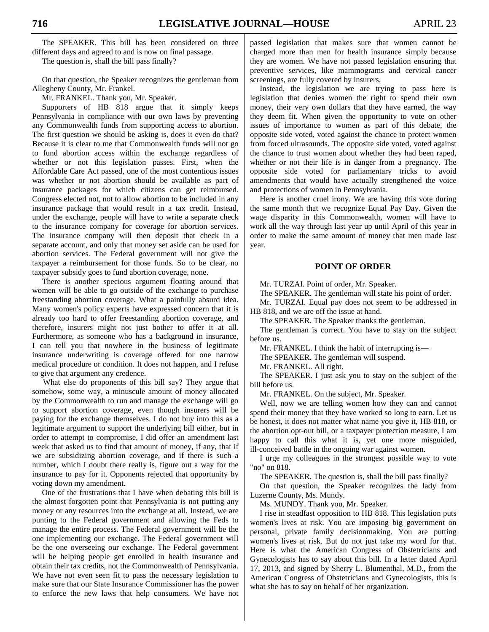The SPEAKER. This bill has been considered on three different days and agreed to and is now on final passage.

The question is, shall the bill pass finally?

 On that question, the Speaker recognizes the gentleman from Allegheny County, Mr. Frankel.

Mr. FRANKEL. Thank you, Mr. Speaker.

 Supporters of HB 818 argue that it simply keeps Pennsylvania in compliance with our own laws by preventing any Commonwealth funds from supporting access to abortion. The first question we should be asking is, does it even do that? Because it is clear to me that Commonwealth funds will not go to fund abortion access within the exchange regardless of whether or not this legislation passes. First, when the Affordable Care Act passed, one of the most contentious issues was whether or not abortion should be available as part of insurance packages for which citizens can get reimbursed. Congress elected not, not to allow abortion to be included in any insurance package that would result in a tax credit. Instead, under the exchange, people will have to write a separate check to the insurance company for coverage for abortion services. The insurance company will then deposit that check in a separate account, and only that money set aside can be used for abortion services. The Federal government will not give the taxpayer a reimbursement for those funds. So to be clear, no taxpayer subsidy goes to fund abortion coverage, none.

 There is another specious argument floating around that women will be able to go outside of the exchange to purchase freestanding abortion coverage. What a painfully absurd idea. Many women's policy experts have expressed concern that it is already too hard to offer freestanding abortion coverage, and therefore, insurers might not just bother to offer it at all. Furthermore, as someone who has a background in insurance, I can tell you that nowhere in the business of legitimate insurance underwriting is coverage offered for one narrow medical procedure or condition. It does not happen, and I refuse to give that argument any credence.

 What else do proponents of this bill say? They argue that somehow, some way, a minuscule amount of money allocated by the Commonwealth to run and manage the exchange will go to support abortion coverage, even though insurers will be paying for the exchange themselves. I do not buy into this as a legitimate argument to support the underlying bill either, but in order to attempt to compromise, I did offer an amendment last week that asked us to find that amount of money, if any, that if we are subsidizing abortion coverage, and if there is such a number, which I doubt there really is, figure out a way for the insurance to pay for it. Opponents rejected that opportunity by voting down my amendment.

 One of the frustrations that I have when debating this bill is the almost forgotten point that Pennsylvania is not putting any money or any resources into the exchange at all. Instead, we are punting to the Federal government and allowing the Feds to manage the entire process. The Federal government will be the one implementing our exchange. The Federal government will be the one overseeing our exchange. The Federal government will be helping people get enrolled in health insurance and obtain their tax credits, not the Commonwealth of Pennsylvania. We have not even seen fit to pass the necessary legislation to make sure that our State Insurance Commissioner has the power to enforce the new laws that help consumers. We have not passed legislation that makes sure that women cannot be charged more than men for health insurance simply because they are women. We have not passed legislation ensuring that preventive services, like mammograms and cervical cancer screenings, are fully covered by insurers.

 Instead, the legislation we are trying to pass here is legislation that denies women the right to spend their own money, their very own dollars that they have earned, the way they deem fit. When given the opportunity to vote on other issues of importance to women as part of this debate, the opposite side voted, voted against the chance to protect women from forced ultrasounds. The opposite side voted, voted against the chance to trust women about whether they had been raped, whether or not their life is in danger from a pregnancy. The opposite side voted for parliamentary tricks to avoid amendments that would have actually strengthened the voice and protections of women in Pennsylvania.

 Here is another cruel irony. We are having this vote during the same month that we recognize Equal Pay Day. Given the wage disparity in this Commonwealth, women will have to work all the way through last year up until April of this year in order to make the same amount of money that men made last year.

#### **POINT OF ORDER**

Mr. TURZAI. Point of order, Mr. Speaker.

The SPEAKER. The gentleman will state his point of order.

 Mr. TURZAI. Equal pay does not seem to be addressed in HB 818, and we are off the issue at hand.

The SPEAKER. The Speaker thanks the gentleman.

 The gentleman is correct. You have to stay on the subject before us.

Mr. FRANKEL. I think the habit of interrupting is—

The SPEAKER. The gentleman will suspend.

Mr. FRANKEL. All right.

 The SPEAKER. I just ask you to stay on the subject of the bill before us.

Mr. FRANKEL. On the subject, Mr. Speaker.

 Well, now we are telling women how they can and cannot spend their money that they have worked so long to earn. Let us be honest, it does not matter what name you give it, HB 818, or the abortion opt-out bill, or a taxpayer protection measure, I am happy to call this what it is, yet one more misguided, ill-conceived battle in the ongoing war against women.

 I urge my colleagues in the strongest possible way to vote "no" on 818.

The SPEAKER. The question is, shall the bill pass finally?

 On that question, the Speaker recognizes the lady from Luzerne County, Ms. Mundy.

Ms. MUNDY. Thank you, Mr. Speaker.

 I rise in steadfast opposition to HB 818. This legislation puts women's lives at risk. You are imposing big government on personal, private family decisionmaking. You are putting women's lives at risk. But do not just take my word for that. Here is what the American Congress of Obstetricians and Gynecologists has to say about this bill. In a letter dated April 17, 2013, and signed by Sherry L. Blumenthal, M.D., from the American Congress of Obstetricians and Gynecologists, this is what she has to say on behalf of her organization.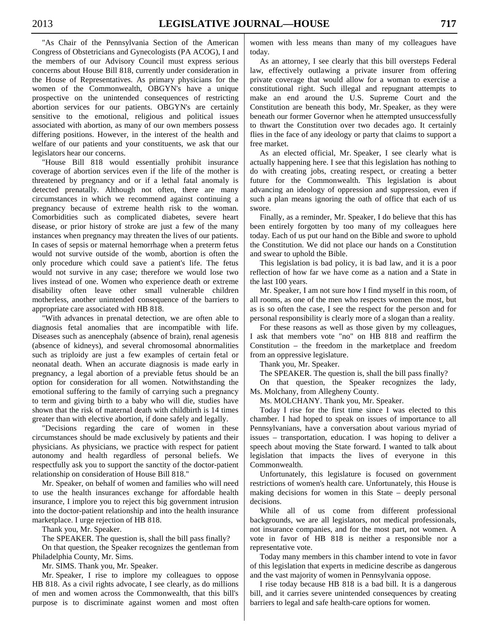"As Chair of the Pennsylvania Section of the American Congress of Obstetricians and Gynecologists (PA ACOG), I and the members of our Advisory Council must express serious concerns about House Bill 818, currently under consideration in the House of Representatives. As primary physicians for the women of the Commonwealth, OBGYN's have a unique prospective on the unintended consequences of restricting abortion services for our patients. OBGYN's are certainly sensitive to the emotional, religious and political issues associated with abortion, as many of our own members possess differing positions. However, in the interest of the health and welfare of our patients and your constituents, we ask that our legislators hear our concerns.

 "House Bill 818 would essentially prohibit insurance coverage of abortion services even if the life of the mother is threatened by pregnancy and or if a lethal fatal anomaly is detected prenatally. Although not often, there are many circumstances in which we recommend against continuing a pregnancy because of extreme health risk to the woman. Comorbidities such as complicated diabetes, severe heart disease, or prior history of stroke are just a few of the many instances when pregnancy may threaten the lives of our patients. In cases of sepsis or maternal hemorrhage when a preterm fetus would not survive outside of the womb, abortion is often the only procedure which could save a patient's life. The fetus would not survive in any case; therefore we would lose two lives instead of one. Women who experience death or extreme disability often leave other small vulnerable children motherless, another unintended consequence of the barriers to appropriate care associated with HB 818.

 "With advances in prenatal detection, we are often able to diagnosis fetal anomalies that are incompatible with life. Diseases such as anencephaly (absence of brain), renal agenesis (absence of kidneys), and several chromosomal abnormalities such as triploidy are just a few examples of certain fetal or neonatal death. When an accurate diagnosis is made early in pregnancy, a legal abortion of a previable fetus should be an option for consideration for all women. Notwithstanding the emotional suffering to the family of carrying such a pregnancy to term and giving birth to a baby who will die, studies have shown that the risk of maternal death with childbirth is 14 times greater than with elective abortion, if done safely and legally.

 "Decisions regarding the care of women in these circumstances should be made exclusively by patients and their physicians. As physicians, we practice with respect for patient autonomy and health regardless of personal beliefs. We respectfully ask you to support the sanctity of the doctor-patient relationship on consideration of House Bill 818."

 Mr. Speaker, on behalf of women and families who will need to use the health insurances exchange for affordable health insurance, I implore you to reject this big government intrusion into the doctor-patient relationship and into the health insurance marketplace. I urge rejection of HB 818.

Thank you, Mr. Speaker.

 The SPEAKER. The question is, shall the bill pass finally? On that question, the Speaker recognizes the gentleman from Philadelphia County, Mr. Sims.

Mr. SIMS. Thank you, Mr. Speaker.

 Mr. Speaker, I rise to implore my colleagues to oppose HB 818. As a civil rights advocate, I see clearly, as do millions of men and women across the Commonwealth, that this bill's purpose is to discriminate against women and most often women with less means than many of my colleagues have today.

 As an attorney, I see clearly that this bill oversteps Federal law, effectively outlawing a private insurer from offering private coverage that would allow for a woman to exercise a constitutional right. Such illegal and repugnant attempts to make an end around the U.S. Supreme Court and the Constitution are beneath this body, Mr. Speaker, as they were beneath our former Governor when he attempted unsuccessfully to thwart the Constitution over two decades ago. It certainly flies in the face of any ideology or party that claims to support a free market.

 As an elected official, Mr. Speaker, I see clearly what is actually happening here. I see that this legislation has nothing to do with creating jobs, creating respect, or creating a better future for the Commonwealth. This legislation is about advancing an ideology of oppression and suppression, even if such a plan means ignoring the oath of office that each of us swore.

 Finally, as a reminder, Mr. Speaker, I do believe that this has been entirely forgotten by too many of my colleagues here today. Each of us put our hand on the Bible and swore to uphold the Constitution. We did not place our hands on a Constitution and swear to uphold the Bible.

 This legislation is bad policy, it is bad law, and it is a poor reflection of how far we have come as a nation and a State in the last 100 years.

 Mr. Speaker, I am not sure how I find myself in this room, of all rooms, as one of the men who respects women the most, but as is so often the case, I see the respect for the person and for personal responsibility is clearly more of a slogan than a reality.

 For these reasons as well as those given by my colleagues, I ask that members vote "no" on HB 818 and reaffirm the Constitution – the freedom in the marketplace and freedom from an oppressive legislature.

Thank you, Mr. Speaker.

The SPEAKER. The question is, shall the bill pass finally?

 On that question, the Speaker recognizes the lady, Ms. Molchany, from Allegheny County.

Ms. MOLCHANY. Thank you, Mr. Speaker.

 Today I rise for the first time since I was elected to this chamber. I had hoped to speak on issues of importance to all Pennsylvanians, have a conversation about various myriad of issues – transportation, education. I was hoping to deliver a speech about moving the State forward. I wanted to talk about legislation that impacts the lives of everyone in this Commonwealth.

 Unfortunately, this legislature is focused on government restrictions of women's health care. Unfortunately, this House is making decisions for women in this State – deeply personal decisions.

 While all of us come from different professional backgrounds, we are all legislators, not medical professionals, not insurance companies, and for the most part, not women. A vote in favor of HB 818 is neither a responsible nor a representative vote.

 Today many members in this chamber intend to vote in favor of this legislation that experts in medicine describe as dangerous and the vast majority of women in Pennsylvania oppose.

 I rise today because HB 818 is a bad bill. It is a dangerous bill, and it carries severe unintended consequences by creating barriers to legal and safe health-care options for women.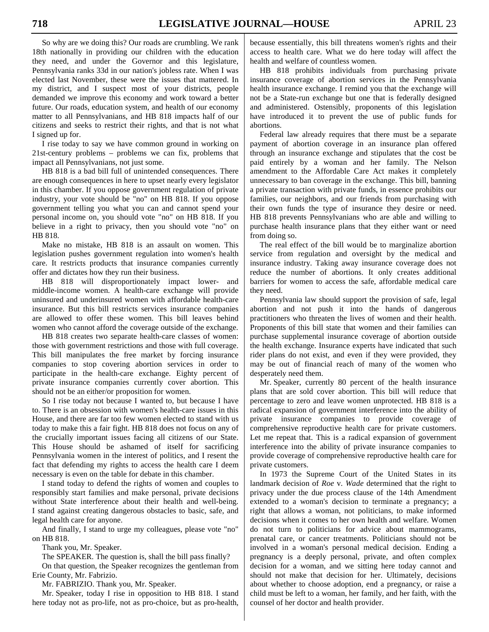So why are we doing this? Our roads are crumbling. We rank 18th nationally in providing our children with the education they need, and under the Governor and this legislature, Pennsylvania ranks 33d in our nation's jobless rate. When I was elected last November, these were the issues that mattered. In my district, and I suspect most of your districts, people demanded we improve this economy and work toward a better future. Our roads, education system, and health of our economy matter to all Pennsylvanians, and HB 818 impacts half of our citizens and seeks to restrict their rights, and that is not what I signed up for.

 I rise today to say we have common ground in working on 21st-century problems – problems we can fix, problems that impact all Pennsylvanians, not just some.

 HB 818 is a bad bill full of unintended consequences. There are enough consequences in here to upset nearly every legislator in this chamber. If you oppose government regulation of private industry, your vote should be "no" on HB 818. If you oppose government telling you what you can and cannot spend your personal income on, you should vote "no" on HB 818. If you believe in a right to privacy, then you should vote "no" on HB 818.

 Make no mistake, HB 818 is an assault on women. This legislation pushes government regulation into women's health care. It restricts products that insurance companies currently offer and dictates how they run their business.

 HB 818 will disproportionately impact lower- and middle-income women. A health-care exchange will provide uninsured and underinsured women with affordable health-care insurance. But this bill restricts services insurance companies are allowed to offer these women. This bill leaves behind women who cannot afford the coverage outside of the exchange.

 HB 818 creates two separate health-care classes of women: those with government restrictions and those with full coverage. This bill manipulates the free market by forcing insurance companies to stop covering abortion services in order to participate in the health-care exchange. Eighty percent of private insurance companies currently cover abortion. This should not be an either/or proposition for women.

 So I rise today not because I wanted to, but because I have to. There is an obsession with women's health-care issues in this House, and there are far too few women elected to stand with us today to make this a fair fight. HB 818 does not focus on any of the crucially important issues facing all citizens of our State. This House should be ashamed of itself for sacrificing Pennsylvania women in the interest of politics, and I resent the fact that defending my rights to access the health care I deem necessary is even on the table for debate in this chamber.

 I stand today to defend the rights of women and couples to responsibly start families and make personal, private decisions without State interference about their health and well-being. I stand against creating dangerous obstacles to basic, safe, and legal health care for anyone.

 And finally, I stand to urge my colleagues, please vote "no" on HB 818.

Thank you, Mr. Speaker.

 The SPEAKER. The question is, shall the bill pass finally? On that question, the Speaker recognizes the gentleman from Erie County, Mr. Fabrizio.

Mr. FABRIZIO. Thank you, Mr. Speaker.

 Mr. Speaker, today I rise in opposition to HB 818. I stand here today not as pro-life, not as pro-choice, but as pro-health,

because essentially, this bill threatens women's rights and their access to health care. What we do here today will affect the health and welfare of countless women.

 HB 818 prohibits individuals from purchasing private insurance coverage of abortion services in the Pennsylvania health insurance exchange. I remind you that the exchange will not be a State-run exchange but one that is federally designed and administered. Ostensibly, proponents of this legislation have introduced it to prevent the use of public funds for abortions.

 Federal law already requires that there must be a separate payment of abortion coverage in an insurance plan offered through an insurance exchange and stipulates that the cost be paid entirely by a woman and her family. The Nelson amendment to the Affordable Care Act makes it completely unnecessary to ban coverage in the exchange. This bill, banning a private transaction with private funds, in essence prohibits our families, our neighbors, and our friends from purchasing with their own funds the type of insurance they desire or need. HB 818 prevents Pennsylvanians who are able and willing to purchase health insurance plans that they either want or need from doing so.

 The real effect of the bill would be to marginalize abortion service from regulation and oversight by the medical and insurance industry. Taking away insurance coverage does not reduce the number of abortions. It only creates additional barriers for women to access the safe, affordable medical care they need.

 Pennsylvania law should support the provision of safe, legal abortion and not push it into the hands of dangerous practitioners who threaten the lives of women and their health. Proponents of this bill state that women and their families can purchase supplemental insurance coverage of abortion outside the health exchange. Insurance experts have indicated that such rider plans do not exist, and even if they were provided, they may be out of financial reach of many of the women who desperately need them.

 Mr. Speaker, currently 80 percent of the health insurance plans that are sold cover abortion. This bill will reduce that percentage to zero and leave women unprotected. HB 818 is a radical expansion of government interference into the ability of private insurance companies to provide coverage of comprehensive reproductive health care for private customers. Let me repeat that. This is a radical expansion of government interference into the ability of private insurance companies to provide coverage of comprehensive reproductive health care for private customers.

 In 1973 the Supreme Court of the United States in its landmark decision of *Roe* v. *Wade* determined that the right to privacy under the due process clause of the 14th Amendment extended to a woman's decision to terminate a pregnancy; a right that allows a woman, not politicians, to make informed decisions when it comes to her own health and welfare. Women do not turn to politicians for advice about mammograms, prenatal care, or cancer treatments. Politicians should not be involved in a woman's personal medical decision. Ending a pregnancy is a deeply personal, private, and often complex decision for a woman, and we sitting here today cannot and should not make that decision for her. Ultimately, decisions about whether to choose adoption, end a pregnancy, or raise a child must be left to a woman, her family, and her faith, with the counsel of her doctor and health provider.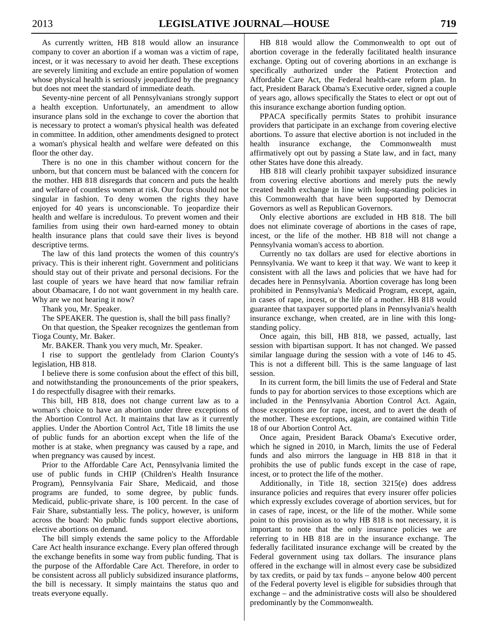As currently written, HB 818 would allow an insurance company to cover an abortion if a woman was a victim of rape, incest, or it was necessary to avoid her death. These exceptions are severely limiting and exclude an entire population of women whose physical health is seriously jeopardized by the pregnancy but does not meet the standard of immediate death.

 Seventy-nine percent of all Pennsylvanians strongly support a health exception. Unfortunately, an amendment to allow insurance plans sold in the exchange to cover the abortion that is necessary to protect a woman's physical health was defeated in committee. In addition, other amendments designed to protect a woman's physical health and welfare were defeated on this floor the other day.

 There is no one in this chamber without concern for the unborn, but that concern must be balanced with the concern for the mother. HB 818 disregards that concern and puts the health and welfare of countless women at risk. Our focus should not be singular in fashion. To deny women the rights they have enjoyed for 40 years is unconscionable. To jeopardize their health and welfare is incredulous. To prevent women and their families from using their own hard-earned money to obtain health insurance plans that could save their lives is beyond descriptive terms.

 The law of this land protects the women of this country's privacy. This is their inherent right. Government and politicians should stay out of their private and personal decisions. For the last couple of years we have heard that now familiar refrain about Obamacare, I do not want government in my health care. Why are we not hearing it now?

Thank you, Mr. Speaker.

The SPEAKER. The question is, shall the bill pass finally?

 On that question, the Speaker recognizes the gentleman from Tioga County, Mr. Baker.

Mr. BAKER. Thank you very much, Mr. Speaker.

 I rise to support the gentlelady from Clarion County's legislation, HB 818.

 I believe there is some confusion about the effect of this bill, and notwithstanding the pronouncements of the prior speakers, I do respectfully disagree with their remarks.

 This bill, HB 818, does not change current law as to a woman's choice to have an abortion under three exceptions of the Abortion Control Act. It maintains that law as it currently applies. Under the Abortion Control Act, Title 18 limits the use of public funds for an abortion except when the life of the mother is at stake, when pregnancy was caused by a rape, and when pregnancy was caused by incest.

 Prior to the Affordable Care Act, Pennsylvania limited the use of public funds in CHIP (Children's Health Insurance Program), Pennsylvania Fair Share, Medicaid, and those programs are funded, to some degree, by public funds. Medicaid, public-private share, is 100 percent. In the case of Fair Share, substantially less. The policy, however, is uniform across the board: No public funds support elective abortions, elective abortions on demand.

 The bill simply extends the same policy to the Affordable Care Act health insurance exchange. Every plan offered through the exchange benefits in some way from public funding. That is the purpose of the Affordable Care Act. Therefore, in order to be consistent across all publicly subsidized insurance platforms, the bill is necessary. It simply maintains the status quo and treats everyone equally.

 HB 818 would allow the Commonwealth to opt out of abortion coverage in the federally facilitated health insurance exchange. Opting out of covering abortions in an exchange is specifically authorized under the Patient Protection and Affordable Care Act, the Federal health-care reform plan. In fact, President Barack Obama's Executive order, signed a couple of years ago, allows specifically the States to elect or opt out of this insurance exchange abortion funding option.

 PPACA specifically permits States to prohibit insurance providers that participate in an exchange from covering elective abortions. To assure that elective abortion is not included in the health insurance exchange, the Commonwealth must affirmatively opt out by passing a State law, and in fact, many other States have done this already.

 HB 818 will clearly prohibit taxpayer subsidized insurance from covering elective abortions and merely puts the newly created health exchange in line with long-standing policies in this Commonwealth that have been supported by Democrat Governors as well as Republican Governors.

 Only elective abortions are excluded in HB 818. The bill does not eliminate coverage of abortions in the cases of rape, incest, or the life of the mother. HB 818 will not change a Pennsylvania woman's access to abortion.

 Currently no tax dollars are used for elective abortions in Pennsylvania. We want to keep it that way. We want to keep it consistent with all the laws and policies that we have had for decades here in Pennsylvania. Abortion coverage has long been prohibited in Pennsylvania's Medicaid Program, except, again, in cases of rape, incest, or the life of a mother. HB 818 would guarantee that taxpayer supported plans in Pennsylvania's health insurance exchange, when created, are in line with this longstanding policy.

 Once again, this bill, HB 818, we passed, actually, last session with bipartisan support. It has not changed. We passed similar language during the session with a vote of 146 to 45. This is not a different bill. This is the same language of last session.

 In its current form, the bill limits the use of Federal and State funds to pay for abortion services to those exceptions which are included in the Pennsylvania Abortion Control Act. Again, those exceptions are for rape, incest, and to avert the death of the mother. These exceptions, again, are contained within Title 18 of our Abortion Control Act.

 Once again, President Barack Obama's Executive order, which he signed in 2010, in March, limits the use of Federal funds and also mirrors the language in HB 818 in that it prohibits the use of public funds except in the case of rape, incest, or to protect the life of the mother.

 Additionally, in Title 18, section 3215(e) does address insurance policies and requires that every insurer offer policies which expressly excludes coverage of abortion services, but for in cases of rape, incest, or the life of the mother. While some point to this provision as to why HB 818 is not necessary, it is important to note that the only insurance policies we are referring to in HB 818 are in the insurance exchange. The federally facilitated insurance exchange will be created by the Federal government using tax dollars. The insurance plans offered in the exchange will in almost every case be subsidized by tax credits, or paid by tax funds – anyone below 400 percent of the Federal poverty level is eligible for subsidies through that exchange – and the administrative costs will also be shouldered predominantly by the Commonwealth.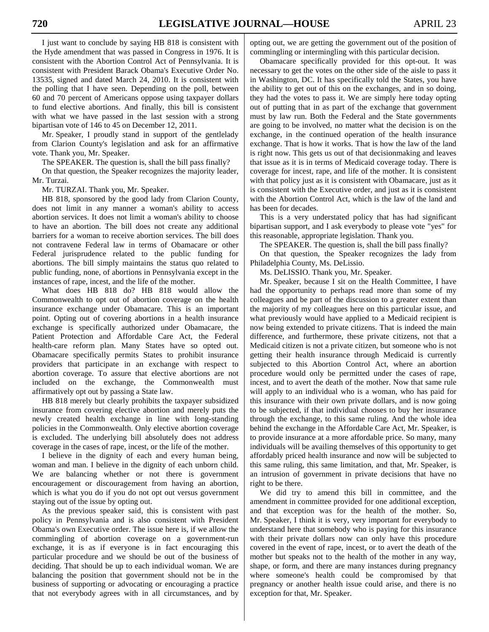I just want to conclude by saying HB 818 is consistent with the Hyde amendment that was passed in Congress in 1976. It is consistent with the Abortion Control Act of Pennsylvania. It is consistent with President Barack Obama's Executive Order No. 13535, signed and dated March 24, 2010. It is consistent with the polling that I have seen. Depending on the poll, between 60 and 70 percent of Americans oppose using taxpayer dollars to fund elective abortions. And finally, this bill is consistent with what we have passed in the last session with a strong bipartisan vote of 146 to 45 on December 12, 2011.

 Mr. Speaker, I proudly stand in support of the gentlelady from Clarion County's legislation and ask for an affirmative vote. Thank you, Mr. Speaker.

The SPEAKER. The question is, shall the bill pass finally?

 On that question, the Speaker recognizes the majority leader, Mr. Turzai.

Mr. TURZAI. Thank you, Mr. Speaker.

 HB 818, sponsored by the good lady from Clarion County, does not limit in any manner a woman's ability to access abortion services. It does not limit a woman's ability to choose to have an abortion. The bill does not create any additional barriers for a woman to receive abortion services. The bill does not contravene Federal law in terms of Obamacare or other Federal jurisprudence related to the public funding for abortions. The bill simply maintains the status quo related to public funding, none, of abortions in Pennsylvania except in the instances of rape, incest, and the life of the mother.

 What does HB 818 do? HB 818 would allow the Commonwealth to opt out of abortion coverage on the health insurance exchange under Obamacare. This is an important point. Opting out of covering abortions in a health insurance exchange is specifically authorized under Obamacare, the Patient Protection and Affordable Care Act, the Federal health-care reform plan. Many States have so opted out. Obamacare specifically permits States to prohibit insurance providers that participate in an exchange with respect to abortion coverage. To assure that elective abortions are not included on the exchange, the Commonwealth must affirmatively opt out by passing a State law.

 HB 818 merely but clearly prohibits the taxpayer subsidized insurance from covering elective abortion and merely puts the newly created health exchange in line with long-standing policies in the Commonwealth. Only elective abortion coverage is excluded. The underlying bill absolutely does not address coverage in the cases of rape, incest, or the life of the mother.

 I believe in the dignity of each and every human being, woman and man. I believe in the dignity of each unborn child. We are balancing whether or not there is government encouragement or discouragement from having an abortion, which is what you do if you do not opt out versus government staying out of the issue by opting out.

 As the previous speaker said, this is consistent with past policy in Pennsylvania and is also consistent with President Obama's own Executive order. The issue here is, if we allow the commingling of abortion coverage on a government-run exchange, it is as if everyone is in fact encouraging this particular procedure and we should be out of the business of deciding. That should be up to each individual woman. We are balancing the position that government should not be in the business of supporting or advocating or encouraging a practice that not everybody agrees with in all circumstances, and by opting out, we are getting the government out of the position of commingling or intermingling with this particular decision.

 Obamacare specifically provided for this opt-out. It was necessary to get the votes on the other side of the aisle to pass it in Washington, DC. It has specifically told the States, you have the ability to get out of this on the exchanges, and in so doing, they had the votes to pass it. We are simply here today opting out of putting that in as part of the exchange that government must by law run. Both the Federal and the State governments are going to be involved, no matter what the decision is on the exchange, in the continued operation of the health insurance exchange. That is how it works. That is how the law of the land is right now. This gets us out of that decisionmaking and leaves that issue as it is in terms of Medicaid coverage today. There is coverage for incest, rape, and life of the mother. It is consistent with that policy just as it is consistent with Obamacare, just as it is consistent with the Executive order, and just as it is consistent with the Abortion Control Act, which is the law of the land and has been for decades.

 This is a very understated policy that has had significant bipartisan support, and I ask everybody to please vote "yes" for this reasonable, appropriate legislation. Thank you.

The SPEAKER. The question is, shall the bill pass finally?

 On that question, the Speaker recognizes the lady from Philadelphia County, Ms. DeLissio.

Ms. DeLISSIO. Thank you, Mr. Speaker.

 Mr. Speaker, because I sit on the Health Committee, I have had the opportunity to perhaps read more than some of my colleagues and be part of the discussion to a greater extent than the majority of my colleagues here on this particular issue, and what previously would have applied to a Medicaid recipient is now being extended to private citizens. That is indeed the main difference, and furthermore, these private citizens, not that a Medicaid citizen is not a private citizen, but someone who is not getting their health insurance through Medicaid is currently subjected to this Abortion Control Act, where an abortion procedure would only be permitted under the cases of rape, incest, and to avert the death of the mother. Now that same rule will apply to an individual who is a woman, who has paid for this insurance with their own private dollars, and is now going to be subjected, if that individual chooses to buy her insurance through the exchange, to this same ruling. And the whole idea behind the exchange in the Affordable Care Act, Mr. Speaker, is to provide insurance at a more affordable price. So many, many individuals will be availing themselves of this opportunity to get affordably priced health insurance and now will be subjected to this same ruling, this same limitation, and that, Mr. Speaker, is an intrusion of government in private decisions that have no right to be there.

 We did try to amend this bill in committee, and the amendment in committee provided for one additional exception, and that exception was for the health of the mother. So, Mr. Speaker, I think it is very, very important for everybody to understand here that somebody who is paying for this insurance with their private dollars now can only have this procedure covered in the event of rape, incest, or to avert the death of the mother but speaks not to the health of the mother in any way, shape, or form, and there are many instances during pregnancy where someone's health could be compromised by that pregnancy or another health issue could arise, and there is no exception for that, Mr. Speaker.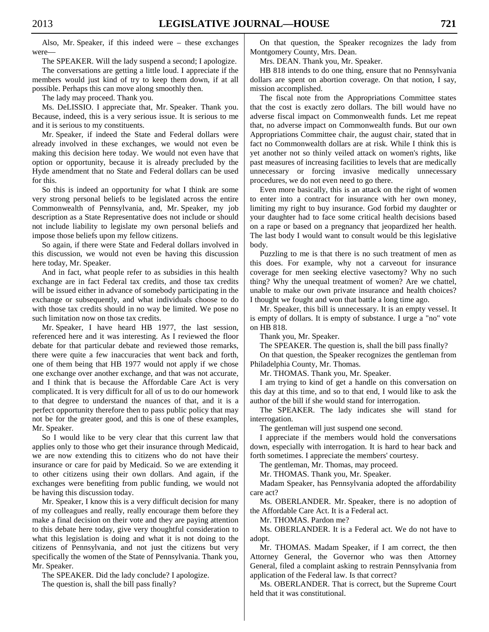Also, Mr. Speaker, if this indeed were – these exchanges were—

The SPEAKER. Will the lady suspend a second; I apologize.

 The conversations are getting a little loud. I appreciate if the members would just kind of try to keep them down, if at all possible. Perhaps this can move along smoothly then.

The lady may proceed. Thank you.

 Ms. DeLISSIO. I appreciate that, Mr. Speaker. Thank you. Because, indeed, this is a very serious issue. It is serious to me and it is serious to my constituents.

 Mr. Speaker, if indeed the State and Federal dollars were already involved in these exchanges, we would not even be making this decision here today. We would not even have that option or opportunity, because it is already precluded by the Hyde amendment that no State and Federal dollars can be used for this.

 So this is indeed an opportunity for what I think are some very strong personal beliefs to be legislated across the entire Commonwealth of Pennsylvania, and, Mr. Speaker, my job description as a State Representative does not include or should not include liability to legislate my own personal beliefs and impose those beliefs upon my fellow citizens.

 So again, if there were State and Federal dollars involved in this discussion, we would not even be having this discussion here today, Mr. Speaker.

 And in fact, what people refer to as subsidies in this health exchange are in fact Federal tax credits, and those tax credits will be issued either in advance of somebody participating in the exchange or subsequently, and what individuals choose to do with those tax credits should in no way be limited. We pose no such limitation now on those tax credits.

 Mr. Speaker, I have heard HB 1977, the last session, referenced here and it was interesting. As I reviewed the floor debate for that particular debate and reviewed those remarks, there were quite a few inaccuracies that went back and forth, one of them being that HB 1977 would not apply if we chose one exchange over another exchange, and that was not accurate, and I think that is because the Affordable Care Act is very complicated. It is very difficult for all of us to do our homework to that degree to understand the nuances of that, and it is a perfect opportunity therefore then to pass public policy that may not be for the greater good, and this is one of these examples, Mr. Speaker.

 So I would like to be very clear that this current law that applies only to those who get their insurance through Medicaid, we are now extending this to citizens who do not have their insurance or care for paid by Medicaid. So we are extending it to other citizens using their own dollars. And again, if the exchanges were benefiting from public funding, we would not be having this discussion today.

 Mr. Speaker, I know this is a very difficult decision for many of my colleagues and really, really encourage them before they make a final decision on their vote and they are paying attention to this debate here today, give very thoughtful consideration to what this legislation is doing and what it is not doing to the citizens of Pennsylvania, and not just the citizens but very specifically the women of the State of Pennsylvania. Thank you, Mr. Speaker.

The SPEAKER. Did the lady conclude? I apologize.

The question is, shall the bill pass finally?

 On that question, the Speaker recognizes the lady from Montgomery County, Mrs. Dean.

Mrs. DEAN. Thank you, Mr. Speaker.

 HB 818 intends to do one thing, ensure that no Pennsylvania dollars are spent on abortion coverage. On that notion, I say, mission accomplished.

 The fiscal note from the Appropriations Committee states that the cost is exactly zero dollars. The bill would have no adverse fiscal impact on Commonwealth funds. Let me repeat that, no adverse impact on Commonwealth funds. But our own Appropriations Committee chair, the august chair, stated that in fact no Commonwealth dollars are at risk. While I think this is yet another not so thinly veiled attack on women's rights, like past measures of increasing facilities to levels that are medically unnecessary or forcing invasive medically unnecessary procedures, we do not even need to go there.

 Even more basically, this is an attack on the right of women to enter into a contract for insurance with her own money, limiting my right to buy insurance. God forbid my daughter or your daughter had to face some critical health decisions based on a rape or based on a pregnancy that jeopardized her health. The last body I would want to consult would be this legislative body.

 Puzzling to me is that there is no such treatment of men as this does. For example, why not a carveout for insurance coverage for men seeking elective vasectomy? Why no such thing? Why the unequal treatment of women? Are we chattel, unable to make our own private insurance and health choices? I thought we fought and won that battle a long time ago.

 Mr. Speaker, this bill is unnecessary. It is an empty vessel. It is empty of dollars. It is empty of substance. I urge a "no" vote on HB 818.

Thank you, Mr. Speaker.

The SPEAKER. The question is, shall the bill pass finally?

 On that question, the Speaker recognizes the gentleman from Philadelphia County, Mr. Thomas.

Mr. THOMAS. Thank you, Mr. Speaker.

 I am trying to kind of get a handle on this conversation on this day at this time, and so to that end, I would like to ask the author of the bill if she would stand for interrogation.

 The SPEAKER. The lady indicates she will stand for interrogation.

The gentleman will just suspend one second.

 I appreciate if the members would hold the conversations down, especially with interrogation. It is hard to hear back and forth sometimes. I appreciate the members' courtesy.

The gentleman, Mr. Thomas, may proceed.

Mr. THOMAS. Thank you, Mr. Speaker.

 Madam Speaker, has Pennsylvania adopted the affordability care act?

 Ms. OBERLANDER. Mr. Speaker, there is no adoption of the Affordable Care Act. It is a Federal act.

Mr. THOMAS. Pardon me?

 Ms. OBERLANDER. It is a Federal act. We do not have to adopt.

 Mr. THOMAS. Madam Speaker, if I am correct, the then Attorney General, the Governor who was then Attorney General, filed a complaint asking to restrain Pennsylvania from application of the Federal law. Is that correct?

 Ms. OBERLANDER. That is correct, but the Supreme Court held that it was constitutional.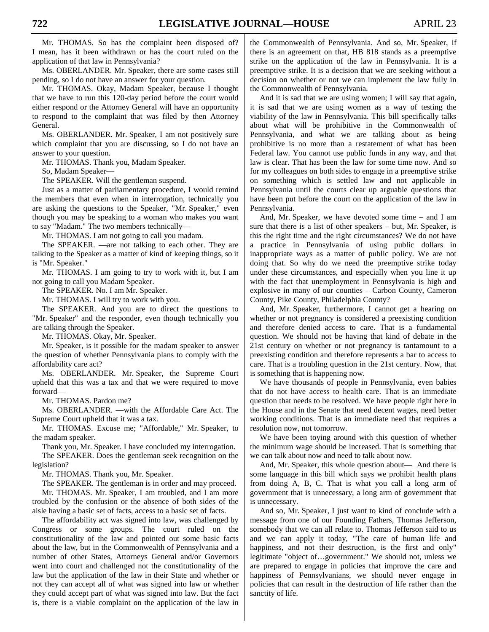Mr. THOMAS. So has the complaint been disposed of? I mean, has it been withdrawn or has the court ruled on the application of that law in Pennsylvania?

 Ms. OBERLANDER. Mr. Speaker, there are some cases still pending, so I do not have an answer for your question.

 Mr. THOMAS. Okay, Madam Speaker, because I thought that we have to run this 120-day period before the court would either respond or the Attorney General will have an opportunity to respond to the complaint that was filed by then Attorney General.

 Ms. OBERLANDER. Mr. Speaker, I am not positively sure which complaint that you are discussing, so I do not have an answer to your question.

Mr. THOMAS. Thank you, Madam Speaker.

So, Madam Speaker—

The SPEAKER. Will the gentleman suspend.

 Just as a matter of parliamentary procedure, I would remind the members that even when in interrogation, technically you are asking the questions to the Speaker, "Mr. Speaker," even though you may be speaking to a woman who makes you want to say "Madam." The two members technically—

Mr. THOMAS. I am not going to call you madam.

 The SPEAKER. —are not talking to each other. They are talking to the Speaker as a matter of kind of keeping things, so it is "Mr. Speaker."

 Mr. THOMAS. I am going to try to work with it, but I am not going to call you Madam Speaker.

The SPEAKER. No. I am Mr. Speaker.

Mr. THOMAS. I will try to work with you.

 The SPEAKER. And you are to direct the questions to "Mr. Speaker" and the responder, even though technically you are talking through the Speaker.

Mr. THOMAS. Okay, Mr. Speaker.

 Mr. Speaker, is it possible for the madam speaker to answer the question of whether Pennsylvania plans to comply with the affordability care act?

 Ms. OBERLANDER. Mr. Speaker, the Supreme Court upheld that this was a tax and that we were required to move forward—

Mr. THOMAS. Pardon me?

 Ms. OBERLANDER. —with the Affordable Care Act. The Supreme Court upheld that it was a tax.

 Mr. THOMAS. Excuse me; "Affordable," Mr. Speaker, to the madam speaker.

 Thank you, Mr. Speaker. I have concluded my interrogation. The SPEAKER. Does the gentleman seek recognition on the legislation?

Mr. THOMAS. Thank you, Mr. Speaker.

 The SPEAKER. The gentleman is in order and may proceed. Mr. THOMAS. Mr. Speaker, I am troubled, and I am more troubled by the confusion or the absence of both sides of the aisle having a basic set of facts, access to a basic set of facts.

 The affordability act was signed into law, was challenged by Congress or some groups. The court ruled on the constitutionality of the law and pointed out some basic facts about the law, but in the Commonwealth of Pennsylvania and a number of other States, Attorneys General and/or Governors went into court and challenged not the constitutionality of the law but the application of the law in their State and whether or not they can accept all of what was signed into law or whether they could accept part of what was signed into law. But the fact is, there is a viable complaint on the application of the law in the Commonwealth of Pennsylvania. And so, Mr. Speaker, if there is an agreement on that, HB 818 stands as a preemptive strike on the application of the law in Pennsylvania. It is a preemptive strike. It is a decision that we are seeking without a decision on whether or not we can implement the law fully in the Commonwealth of Pennsylvania.

 And it is sad that we are using women; I will say that again, it is sad that we are using women as a way of testing the viability of the law in Pennsylvania. This bill specifically talks about what will be prohibitive in the Commonwealth of Pennsylvania, and what we are talking about as being prohibitive is no more than a restatement of what has been Federal law. You cannot use public funds in any way, and that law is clear. That has been the law for some time now. And so for my colleagues on both sides to engage in a preemptive strike on something which is settled law and not applicable in Pennsylvania until the courts clear up arguable questions that have been put before the court on the application of the law in Pennsylvania.

 And, Mr. Speaker, we have devoted some time – and I am sure that there is a list of other speakers – but, Mr. Speaker, is this the right time and the right circumstances? We do not have a practice in Pennsylvania of using public dollars in inappropriate ways as a matter of public policy. We are not doing that. So why do we need the preemptive strike today under these circumstances, and especially when you line it up with the fact that unemployment in Pennsylvania is high and explosive in many of our counties – Carbon County, Cameron County, Pike County, Philadelphia County?

 And, Mr. Speaker, furthermore, I cannot get a hearing on whether or not pregnancy is considered a preexisting condition and therefore denied access to care. That is a fundamental question. We should not be having that kind of debate in the 21st century on whether or not pregnancy is tantamount to a preexisting condition and therefore represents a bar to access to care. That is a troubling question in the 21st century. Now, that is something that is happening now.

 We have thousands of people in Pennsylvania, even babies that do not have access to health care. That is an immediate question that needs to be resolved. We have people right here in the House and in the Senate that need decent wages, need better working conditions. That is an immediate need that requires a resolution now, not tomorrow.

 We have been toying around with this question of whether the minimum wage should be increased. That is something that we can talk about now and need to talk about now.

 And, Mr. Speaker, this whole question about— And there is some language in this bill which says we prohibit health plans from doing A, B, C. That is what you call a long arm of government that is unnecessary, a long arm of government that is unnecessary.

 And so, Mr. Speaker, I just want to kind of conclude with a message from one of our Founding Fathers, Thomas Jefferson, somebody that we can all relate to. Thomas Jefferson said to us and we can apply it today, "The care of human life and happiness, and not their destruction, is the first and only" legitimate "object of…government." We should not, unless we are prepared to engage in policies that improve the care and happiness of Pennsylvanians, we should never engage in policies that can result in the destruction of life rather than the sanctity of life.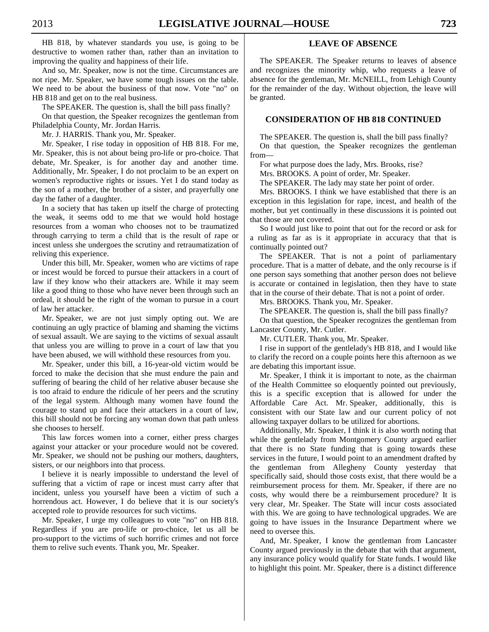HB 818, by whatever standards you use, is going to be destructive to women rather than, rather than an invitation to improving the quality and happiness of their life.

 And so, Mr. Speaker, now is not the time. Circumstances are not ripe. Mr. Speaker, we have some tough issues on the table. We need to be about the business of that now. Vote "no" on HB 818 and get on to the real business.

The SPEAKER. The question is, shall the bill pass finally?

 On that question, the Speaker recognizes the gentleman from Philadelphia County, Mr. Jordan Harris.

Mr. J. HARRIS. Thank you, Mr. Speaker.

 Mr. Speaker, I rise today in opposition of HB 818. For me, Mr. Speaker, this is not about being pro-life or pro-choice. That debate, Mr. Speaker, is for another day and another time. Additionally, Mr. Speaker, I do not proclaim to be an expert on women's reproductive rights or issues. Yet I do stand today as the son of a mother, the brother of a sister, and prayerfully one day the father of a daughter.

 In a society that has taken up itself the charge of protecting the weak, it seems odd to me that we would hold hostage resources from a woman who chooses not to be traumatized through carrying to term a child that is the result of rape or incest unless she undergoes the scrutiny and retraumatization of reliving this experience.

 Under this bill, Mr. Speaker, women who are victims of rape or incest would be forced to pursue their attackers in a court of law if they know who their attackers are. While it may seem like a good thing to those who have never been through such an ordeal, it should be the right of the woman to pursue in a court of law her attacker.

 Mr. Speaker, we are not just simply opting out. We are continuing an ugly practice of blaming and shaming the victims of sexual assault. We are saying to the victims of sexual assault that unless you are willing to prove in a court of law that you have been abused, we will withhold these resources from you.

 Mr. Speaker, under this bill, a 16-year-old victim would be forced to make the decision that she must endure the pain and suffering of bearing the child of her relative abuser because she is too afraid to endure the ridicule of her peers and the scrutiny of the legal system. Although many women have found the courage to stand up and face their attackers in a court of law, this bill should not be forcing any woman down that path unless she chooses to herself.

 This law forces women into a corner, either press charges against your attacker or your procedure would not be covered. Mr. Speaker, we should not be pushing our mothers, daughters, sisters, or our neighbors into that process.

 I believe it is nearly impossible to understand the level of suffering that a victim of rape or incest must carry after that incident, unless you yourself have been a victim of such a horrendous act. However, I do believe that it is our society's accepted role to provide resources for such victims.

 Mr. Speaker, I urge my colleagues to vote "no" on HB 818. Regardless if you are pro-life or pro-choice, let us all be pro-support to the victims of such horrific crimes and not force them to relive such events. Thank you, Mr. Speaker.

## **LEAVE OF ABSENCE**

 The SPEAKER. The Speaker returns to leaves of absence and recognizes the minority whip, who requests a leave of absence for the gentleman, Mr. McNEILL, from Lehigh County for the remainder of the day. Without objection, the leave will be granted.

## **CONSIDERATION OF HB 818 CONTINUED**

The SPEAKER. The question is, shall the bill pass finally?

 On that question, the Speaker recognizes the gentleman from—

For what purpose does the lady, Mrs. Brooks, rise?

Mrs. BROOKS. A point of order, Mr. Speaker.

The SPEAKER. The lady may state her point of order.

 Mrs. BROOKS. I think we have established that there is an exception in this legislation for rape, incest, and health of the mother, but yet continually in these discussions it is pointed out that those are not covered.

 So I would just like to point that out for the record or ask for a ruling as far as is it appropriate in accuracy that that is continually pointed out?

 The SPEAKER. That is not a point of parliamentary procedure. That is a matter of debate, and the only recourse is if one person says something that another person does not believe is accurate or contained in legislation, then they have to state that in the course of their debate. That is not a point of order.

Mrs. BROOKS. Thank you, Mr. Speaker.

The SPEAKER. The question is, shall the bill pass finally?

 On that question, the Speaker recognizes the gentleman from Lancaster County, Mr. Cutler.

Mr. CUTLER. Thank you, Mr. Speaker.

 I rise in support of the gentlelady's HB 818, and I would like to clarify the record on a couple points here this afternoon as we are debating this important issue.

 Mr. Speaker, I think it is important to note, as the chairman of the Health Committee so eloquently pointed out previously, this is a specific exception that is allowed for under the Affordable Care Act. Mr. Speaker, additionally, this is consistent with our State law and our current policy of not allowing taxpayer dollars to be utilized for abortions.

 Additionally, Mr. Speaker, I think it is also worth noting that while the gentlelady from Montgomery County argued earlier that there is no State funding that is going towards these services in the future, I would point to an amendment drafted by the gentleman from Allegheny County yesterday that specifically said, should those costs exist, that there would be a reimbursement process for them. Mr. Speaker, if there are no costs, why would there be a reimbursement procedure? It is very clear, Mr. Speaker. The State will incur costs associated with this. We are going to have technological upgrades. We are going to have issues in the Insurance Department where we need to oversee this.

 And, Mr. Speaker, I know the gentleman from Lancaster County argued previously in the debate that with that argument, any insurance policy would qualify for State funds. I would like to highlight this point. Mr. Speaker, there is a distinct difference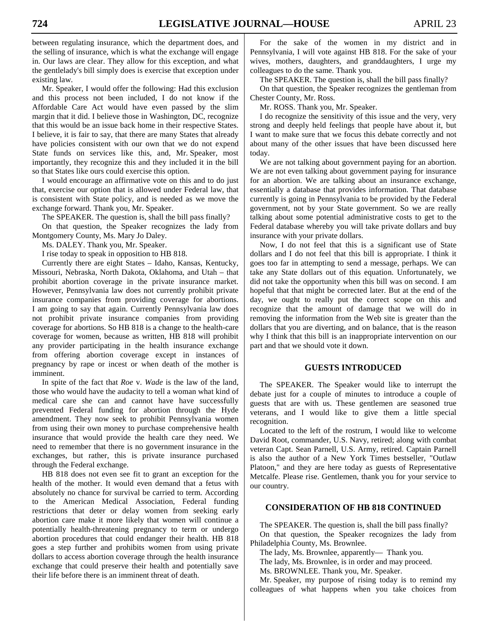between regulating insurance, which the department does, and the selling of insurance, which is what the exchange will engage in. Our laws are clear. They allow for this exception, and what the gentlelady's bill simply does is exercise that exception under existing law.

 Mr. Speaker, I would offer the following: Had this exclusion and this process not been included, I do not know if the Affordable Care Act would have even passed by the slim margin that it did. I believe those in Washington, DC, recognize that this would be an issue back home in their respective States. I believe, it is fair to say, that there are many States that already have policies consistent with our own that we do not expend State funds on services like this, and, Mr. Speaker, most importantly, they recognize this and they included it in the bill so that States like ours could exercise this option.

 I would encourage an affirmative vote on this and to do just that, exercise our option that is allowed under Federal law, that is consistent with State policy, and is needed as we move the exchange forward. Thank you, Mr. Speaker.

The SPEAKER. The question is, shall the bill pass finally?

 On that question, the Speaker recognizes the lady from Montgomery County, Ms. Mary Jo Daley.

Ms. DALEY. Thank you, Mr. Speaker.

I rise today to speak in opposition to HB 818.

 Currently there are eight States – Idaho, Kansas, Kentucky, Missouri, Nebraska, North Dakota, Oklahoma, and Utah – that prohibit abortion coverage in the private insurance market. However, Pennsylvania law does not currently prohibit private insurance companies from providing coverage for abortions. I am going to say that again. Currently Pennsylvania law does not prohibit private insurance companies from providing coverage for abortions. So HB 818 is a change to the health-care coverage for women, because as written, HB 818 will prohibit any provider participating in the health insurance exchange from offering abortion coverage except in instances of pregnancy by rape or incest or when death of the mother is imminent.

 In spite of the fact that *Roe* v. *Wade* is the law of the land, those who would have the audacity to tell a woman what kind of medical care she can and cannot have have successfully prevented Federal funding for abortion through the Hyde amendment. They now seek to prohibit Pennsylvania women from using their own money to purchase comprehensive health insurance that would provide the health care they need. We need to remember that there is no government insurance in the exchanges, but rather, this is private insurance purchased through the Federal exchange.

 HB 818 does not even see fit to grant an exception for the health of the mother. It would even demand that a fetus with absolutely no chance for survival be carried to term. According to the American Medical Association, Federal funding restrictions that deter or delay women from seeking early abortion care make it more likely that women will continue a potentially health-threatening pregnancy to term or undergo abortion procedures that could endanger their health. HB 818 goes a step further and prohibits women from using private dollars to access abortion coverage through the health insurance exchange that could preserve their health and potentially save their life before there is an imminent threat of death.

 For the sake of the women in my district and in Pennsylvania, I will vote against HB 818. For the sake of your wives, mothers, daughters, and granddaughters, I urge my colleagues to do the same. Thank you.

The SPEAKER. The question is, shall the bill pass finally?

 On that question, the Speaker recognizes the gentleman from Chester County, Mr. Ross.

Mr. ROSS. Thank you, Mr. Speaker.

 I do recognize the sensitivity of this issue and the very, very strong and deeply held feelings that people have about it, but I want to make sure that we focus this debate correctly and not about many of the other issues that have been discussed here today.

 We are not talking about government paying for an abortion. We are not even talking about government paying for insurance for an abortion. We are talking about an insurance exchange, essentially a database that provides information. That database currently is going in Pennsylvania to be provided by the Federal government, not by your State government. So we are really talking about some potential administrative costs to get to the Federal database whereby you will take private dollars and buy insurance with your private dollars.

 Now, I do not feel that this is a significant use of State dollars and I do not feel that this bill is appropriate. I think it goes too far in attempting to send a message, perhaps. We can take any State dollars out of this equation. Unfortunately, we did not take the opportunity when this bill was on second. I am hopeful that that might be corrected later. But at the end of the day, we ought to really put the correct scope on this and recognize that the amount of damage that we will do in removing the information from the Web site is greater than the dollars that you are diverting, and on balance, that is the reason why I think that this bill is an inappropriate intervention on our part and that we should vote it down.

#### **GUESTS INTRODUCED**

 The SPEAKER. The Speaker would like to interrupt the debate just for a couple of minutes to introduce a couple of guests that are with us. These gentlemen are seasoned true veterans, and I would like to give them a little special recognition.

 Located to the left of the rostrum, I would like to welcome David Root, commander, U.S. Navy, retired; along with combat veteran Capt. Sean Parnell, U.S. Army, retired. Captain Parnell is also the author of a New York Times bestseller, "Outlaw Platoon," and they are here today as guests of Representative Metcalfe. Please rise. Gentlemen, thank you for your service to our country.

#### **CONSIDERATION OF HB 818 CONTINUED**

 The SPEAKER. The question is, shall the bill pass finally? On that question, the Speaker recognizes the lady from Philadelphia County, Ms. Brownlee.

The lady, Ms. Brownlee, apparently— Thank you.

The lady, Ms. Brownlee, is in order and may proceed.

Ms. BROWNLEE. Thank you, Mr. Speaker.

 Mr. Speaker, my purpose of rising today is to remind my colleagues of what happens when you take choices from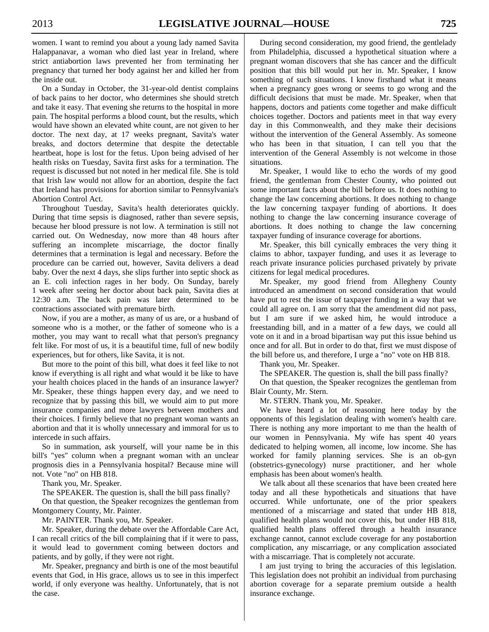women. I want to remind you about a young lady named Savita Halappanavar, a woman who died last year in Ireland, where strict antiabortion laws prevented her from terminating her pregnancy that turned her body against her and killed her from the inside out.

 On a Sunday in October, the 31-year-old dentist complains of back pains to her doctor, who determines she should stretch and take it easy. That evening she returns to the hospital in more pain. The hospital performs a blood count, but the results, which would have shown an elevated white count, are not given to her doctor. The next day, at 17 weeks pregnant, Savita's water breaks, and doctors determine that despite the detectable heartbeat, hope is lost for the fetus. Upon being advised of her health risks on Tuesday, Savita first asks for a termination. The request is discussed but not noted in her medical file. She is told that Irish law would not allow for an abortion, despite the fact that Ireland has provisions for abortion similar to Pennsylvania's Abortion Control Act.

 Throughout Tuesday, Savita's health deteriorates quickly. During that time sepsis is diagnosed, rather than severe sepsis, because her blood pressure is not low. A termination is still not carried out. On Wednesday, now more than 48 hours after suffering an incomplete miscarriage, the doctor finally determines that a termination is legal and necessary. Before the procedure can be carried out, however, Savita delivers a dead baby. Over the next 4 days, she slips further into septic shock as an E. coli infection rages in her body. On Sunday, barely 1 week after seeing her doctor about back pain, Savita dies at 12:30 a.m. The back pain was later determined to be contractions associated with premature birth.

 Now, if you are a mother, as many of us are, or a husband of someone who is a mother, or the father of someone who is a mother, you may want to recall what that person's pregnancy felt like. For most of us, it is a beautiful time, full of new bodily experiences, but for others, like Savita, it is not.

 But more to the point of this bill, what does it feel like to not know if everything is all right and what would it be like to have your health choices placed in the hands of an insurance lawyer? Mr. Speaker, these things happen every day, and we need to recognize that by passing this bill, we would aim to put more insurance companies and more lawyers between mothers and their choices. I firmly believe that no pregnant woman wants an abortion and that it is wholly unnecessary and immoral for us to intercede in such affairs.

 So in summation, ask yourself, will your name be in this bill's "yes" column when a pregnant woman with an unclear prognosis dies in a Pennsylvania hospital? Because mine will not. Vote "no" on HB 818.

Thank you, Mr. Speaker.

The SPEAKER. The question is, shall the bill pass finally?

 On that question, the Speaker recognizes the gentleman from Montgomery County, Mr. Painter.

Mr. PAINTER. Thank you, Mr. Speaker.

 Mr. Speaker, during the debate over the Affordable Care Act, I can recall critics of the bill complaining that if it were to pass, it would lead to government coming between doctors and patients, and by golly, if they were not right.

 Mr. Speaker, pregnancy and birth is one of the most beautiful events that God, in His grace, allows us to see in this imperfect world, if only everyone was healthy. Unfortunately, that is not the case.

 During second consideration, my good friend, the gentlelady from Philadelphia, discussed a hypothetical situation where a pregnant woman discovers that she has cancer and the difficult position that this bill would put her in. Mr. Speaker, I know something of such situations. I know firsthand what it means when a pregnancy goes wrong or seems to go wrong and the difficult decisions that must be made. Mr. Speaker, when that happens, doctors and patients come together and make difficult choices together. Doctors and patients meet in that way every day in this Commonwealth, and they make their decisions without the intervention of the General Assembly. As someone who has been in that situation, I can tell you that the intervention of the General Assembly is not welcome in those situations.

 Mr. Speaker, I would like to echo the words of my good friend, the gentleman from Chester County, who pointed out some important facts about the bill before us. It does nothing to change the law concerning abortions. It does nothing to change the law concerning taxpayer funding of abortions. It does nothing to change the law concerning insurance coverage of abortions. It does nothing to change the law concerning taxpayer funding of insurance coverage for abortions.

 Mr. Speaker, this bill cynically embraces the very thing it claims to abhor, taxpayer funding, and uses it as leverage to reach private insurance policies purchased privately by private citizens for legal medical procedures.

 Mr. Speaker, my good friend from Allegheny County introduced an amendment on second consideration that would have put to rest the issue of taxpayer funding in a way that we could all agree on. I am sorry that the amendment did not pass, but I am sure if we asked him, he would introduce a freestanding bill, and in a matter of a few days, we could all vote on it and in a broad bipartisan way put this issue behind us once and for all. But in order to do that, first we must dispose of the bill before us, and therefore, I urge a "no" vote on HB 818.

Thank you, Mr. Speaker.

The SPEAKER. The question is, shall the bill pass finally?

 On that question, the Speaker recognizes the gentleman from Blair County, Mr. Stern.

Mr. STERN. Thank you, Mr. Speaker.

 We have heard a lot of reasoning here today by the opponents of this legislation dealing with women's health care. There is nothing any more important to me than the health of our women in Pennsylvania. My wife has spent 40 years dedicated to helping women, all income, low income. She has worked for family planning services. She is an ob-gyn (obstetrics-gynecology) nurse practitioner, and her whole emphasis has been about women's health.

 We talk about all these scenarios that have been created here today and all these hypotheticals and situations that have occurred. While unfortunate, one of the prior speakers mentioned of a miscarriage and stated that under HB 818, qualified health plans would not cover this, but under HB 818, qualified health plans offered through a health insurance exchange cannot, cannot exclude coverage for any postabortion complication, any miscarriage, or any complication associated with a miscarriage. That is completely not accurate.

 I am just trying to bring the accuracies of this legislation. This legislation does not prohibit an individual from purchasing abortion coverage for a separate premium outside a health insurance exchange.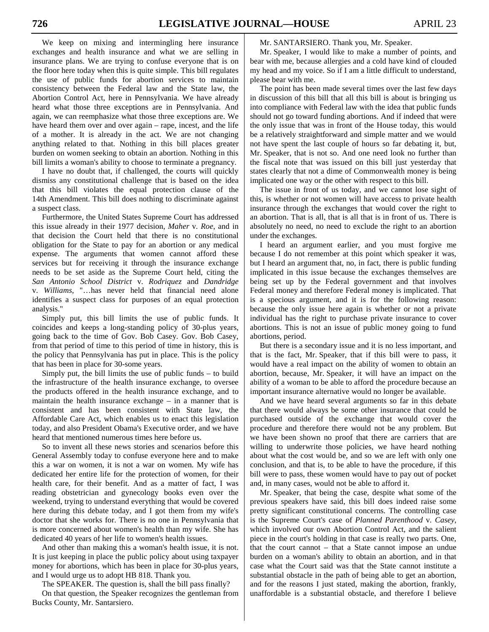We keep on mixing and intermingling here insurance exchanges and health insurance and what we are selling in insurance plans. We are trying to confuse everyone that is on the floor here today when this is quite simple. This bill regulates the use of public funds for abortion services to maintain consistency between the Federal law and the State law, the Abortion Control Act, here in Pennsylvania. We have already heard what those three exceptions are in Pennsylvania. And again, we can reemphasize what those three exceptions are. We have heard them over and over again – rape, incest, and the life of a mother. It is already in the act. We are not changing anything related to that. Nothing in this bill places greater burden on women seeking to obtain an abortion. Nothing in this bill limits a woman's ability to choose to terminate a pregnancy.

 I have no doubt that, if challenged, the courts will quickly dismiss any constitutional challenge that is based on the idea that this bill violates the equal protection clause of the 14th Amendment. This bill does nothing to discriminate against a suspect class.

 Furthermore, the United States Supreme Court has addressed this issue already in their 1977 decision, *Maher* v*. Roe*, and in that decision the Court held that there is no constitutional obligation for the State to pay for an abortion or any medical expense. The arguments that women cannot afford these services but for receiving it through the insurance exchange needs to be set aside as the Supreme Court held, citing the *San Antonio School District* v. *Rodriquez* and *Dandridge*  v. *Williams*, "…has never held that financial need alone identifies a suspect class for purposes of an equal protection analysis."

 Simply put, this bill limits the use of public funds. It coincides and keeps a long-standing policy of 30-plus years, going back to the time of Gov. Bob Casey. Gov. Bob Casey, from that period of time to this period of time in history, this is the policy that Pennsylvania has put in place. This is the policy that has been in place for 30-some years.

 Simply put, the bill limits the use of public funds – to build the infrastructure of the health insurance exchange, to oversee the products offered in the health insurance exchange, and to maintain the health insurance exchange – in a manner that is consistent and has been consistent with State law, the Affordable Care Act, which enables us to enact this legislation today, and also President Obama's Executive order, and we have heard that mentioned numerous times here before us.

 So to invent all these news stories and scenarios before this General Assembly today to confuse everyone here and to make this a war on women, it is not a war on women. My wife has dedicated her entire life for the protection of women, for their health care, for their benefit. And as a matter of fact, I was reading obstetrician and gynecology books even over the weekend, trying to understand everything that would be covered here during this debate today, and I got them from my wife's doctor that she works for. There is no one in Pennsylvania that is more concerned about women's health than my wife. She has dedicated 40 years of her life to women's health issues.

 And other than making this a woman's health issue, it is not. It is just keeping in place the public policy about using taxpayer money for abortions, which has been in place for 30-plus years, and I would urge us to adopt HB 818. Thank you.

The SPEAKER. The question is, shall the bill pass finally?

 On that question, the Speaker recognizes the gentleman from Bucks County, Mr. Santarsiero.

Mr. SANTARSIERO. Thank you, Mr. Speaker.

 Mr. Speaker, I would like to make a number of points, and bear with me, because allergies and a cold have kind of clouded my head and my voice. So if I am a little difficult to understand, please bear with me.

 The point has been made several times over the last few days in discussion of this bill that all this bill is about is bringing us into compliance with Federal law with the idea that public funds should not go toward funding abortions. And if indeed that were the only issue that was in front of the House today, this would be a relatively straightforward and simple matter and we would not have spent the last couple of hours so far debating it, but, Mr. Speaker, that is not so. And one need look no further than the fiscal note that was issued on this bill just yesterday that states clearly that not a dime of Commonwealth money is being implicated one way or the other with respect to this bill.

 The issue in front of us today, and we cannot lose sight of this, is whether or not women will have access to private health insurance through the exchanges that would cover the right to an abortion. That is all, that is all that is in front of us. There is absolutely no need, no need to exclude the right to an abortion under the exchanges.

 I heard an argument earlier, and you must forgive me because I do not remember at this point which speaker it was, but I heard an argument that, no, in fact, there is public funding implicated in this issue because the exchanges themselves are being set up by the Federal government and that involves Federal money and therefore Federal money is implicated. That is a specious argument, and it is for the following reason: because the only issue here again is whether or not a private individual has the right to purchase private insurance to cover abortions. This is not an issue of public money going to fund abortions, period.

 But there is a secondary issue and it is no less important, and that is the fact, Mr. Speaker, that if this bill were to pass, it would have a real impact on the ability of women to obtain an abortion, because, Mr. Speaker, it will have an impact on the ability of a woman to be able to afford the procedure because an important insurance alternative would no longer be available.

 And we have heard several arguments so far in this debate that there would always be some other insurance that could be purchased outside of the exchange that would cover the procedure and therefore there would not be any problem. But we have been shown no proof that there are carriers that are willing to underwrite those policies, we have heard nothing about what the cost would be, and so we are left with only one conclusion, and that is, to be able to have the procedure, if this bill were to pass, these women would have to pay out of pocket and, in many cases, would not be able to afford it.

 Mr. Speaker, that being the case, despite what some of the previous speakers have said, this bill does indeed raise some pretty significant constitutional concerns. The controlling case is the Supreme Court's case of *Planned Parenthood* v*. Casey*, which involved our own Abortion Control Act, and the salient piece in the court's holding in that case is really two parts. One, that the court cannot – that a State cannot impose an undue burden on a woman's ability to obtain an abortion, and in that case what the Court said was that the State cannot institute a substantial obstacle in the path of being able to get an abortion, and for the reasons I just stated, making the abortion, frankly, unaffordable is a substantial obstacle, and therefore I believe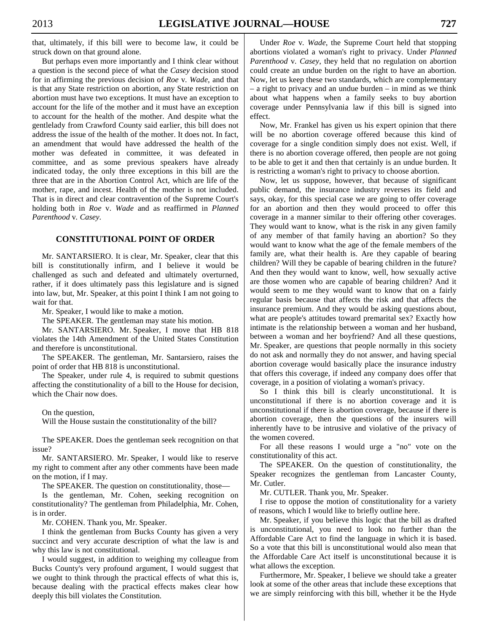that, ultimately, if this bill were to become law, it could be struck down on that ground alone.

 But perhaps even more importantly and I think clear without a question is the second piece of what the *Casey* decision stood for in affirming the previous decision of *Roe* v*. Wade*, and that is that any State restriction on abortion, any State restriction on abortion must have two exceptions. It must have an exception to account for the life of the mother and it must have an exception to account for the health of the mother. And despite what the gentlelady from Crawford County said earlier, this bill does not address the issue of the health of the mother. It does not. In fact, an amendment that would have addressed the health of the mother was defeated in committee, it was defeated in committee, and as some previous speakers have already indicated today, the only three exceptions in this bill are the three that are in the Abortion Control Act, which are life of the mother, rape, and incest. Health of the mother is not included. That is in direct and clear contravention of the Supreme Court's holding both in *Roe* v. *Wade* and as reaffirmed in *Planned Parenthood* v*. Casey*.

#### **CONSTITUTIONAL POINT OF ORDER**

 Mr. SANTARSIERO. It is clear, Mr. Speaker, clear that this bill is constitutionally infirm, and I believe it would be challenged as such and defeated and ultimately overturned, rather, if it does ultimately pass this legislature and is signed into law, but, Mr. Speaker, at this point I think I am not going to wait for that.

Mr. Speaker, I would like to make a motion.

The SPEAKER. The gentleman may state his motion.

 Mr. SANTARSIERO. Mr. Speaker, I move that HB 818 violates the 14th Amendment of the United States Constitution and therefore is unconstitutional.

 The SPEAKER. The gentleman, Mr. Santarsiero, raises the point of order that HB 818 is unconstitutional.

 The Speaker, under rule 4, is required to submit questions affecting the constitutionality of a bill to the House for decision, which the Chair now does.

On the question,

Will the House sustain the constitutionality of the bill?

 The SPEAKER. Does the gentleman seek recognition on that issue?

 Mr. SANTARSIERO. Mr. Speaker, I would like to reserve my right to comment after any other comments have been made on the motion, if I may.

The SPEAKER. The question on constitutionality, those—

 Is the gentleman, Mr. Cohen, seeking recognition on constitutionality? The gentleman from Philadelphia, Mr. Cohen, is in order.

Mr. COHEN. Thank you, Mr. Speaker.

 I think the gentleman from Bucks County has given a very succinct and very accurate description of what the law is and why this law is not constitutional.

 I would suggest, in addition to weighing my colleague from Bucks County's very profound argument, I would suggest that we ought to think through the practical effects of what this is, because dealing with the practical effects makes clear how deeply this bill violates the Constitution.

 Under *Roe* v*. Wade*, the Supreme Court held that stopping abortions violated a woman's right to privacy. Under *Planned Parenthood* v*. Casey*, they held that no regulation on abortion could create an undue burden on the right to have an abortion. Now, let us keep these two standards, which are complementary – a right to privacy and an undue burden – in mind as we think about what happens when a family seeks to buy abortion coverage under Pennsylvania law if this bill is signed into effect.

 Now, Mr. Frankel has given us his expert opinion that there will be no abortion coverage offered because this kind of coverage for a single condition simply does not exist. Well, if there is no abortion coverage offered, then people are not going to be able to get it and then that certainly is an undue burden. It is restricting a woman's right to privacy to choose abortion.

 Now, let us suppose, however, that because of significant public demand, the insurance industry reverses its field and says, okay, for this special case we are going to offer coverage for an abortion and then they would proceed to offer this coverage in a manner similar to their offering other coverages. They would want to know, what is the risk in any given family of any member of that family having an abortion? So they would want to know what the age of the female members of the family are, what their health is. Are they capable of bearing children? Will they be capable of bearing children in the future? And then they would want to know, well, how sexually active are those women who are capable of bearing children? And it would seem to me they would want to know that on a fairly regular basis because that affects the risk and that affects the insurance premium. And they would be asking questions about, what are people's attitudes toward premarital sex? Exactly how intimate is the relationship between a woman and her husband, between a woman and her boyfriend? And all these questions, Mr. Speaker, are questions that people normally in this society do not ask and normally they do not answer, and having special abortion coverage would basically place the insurance industry that offers this coverage, if indeed any company does offer that coverage, in a position of violating a woman's privacy.

 So I think this bill is clearly unconstitutional. It is unconstitutional if there is no abortion coverage and it is unconstitutional if there is abortion coverage, because if there is abortion coverage, then the questions of the insurers will inherently have to be intrusive and violative of the privacy of the women covered.

 For all these reasons I would urge a "no" vote on the constitutionality of this act.

 The SPEAKER. On the question of constitutionality, the Speaker recognizes the gentleman from Lancaster County, Mr. Cutler.

Mr. CUTLER. Thank you, Mr. Speaker.

 I rise to oppose the motion of constitutionality for a variety of reasons, which I would like to briefly outline here.

 Mr. Speaker, if you believe this logic that the bill as drafted is unconstitutional, you need to look no further than the Affordable Care Act to find the language in which it is based. So a vote that this bill is unconstitutional would also mean that the Affordable Care Act itself is unconstitutional because it is what allows the exception.

 Furthermore, Mr. Speaker, I believe we should take a greater look at some of the other areas that include these exceptions that we are simply reinforcing with this bill, whether it be the Hyde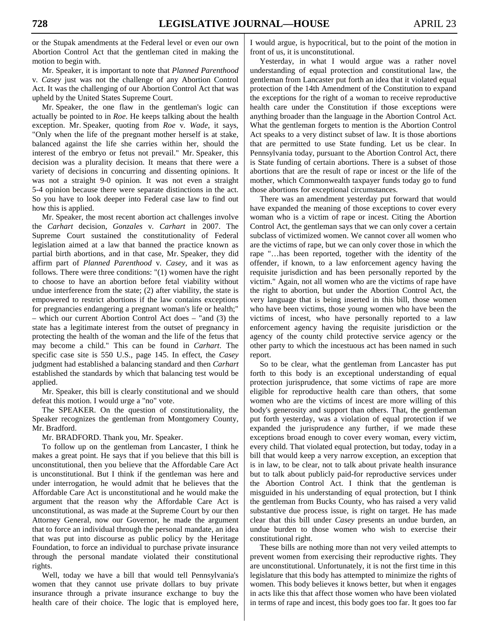or the Stupak amendments at the Federal level or even our own Abortion Control Act that the gentleman cited in making the motion to begin with.

 Mr. Speaker, it is important to note that *Planned Parenthood*  v*. Casey* just was not the challenge of any Abortion Control Act. It was the challenging of our Abortion Control Act that was upheld by the United States Supreme Court.

 Mr. Speaker, the one flaw in the gentleman's logic can actually be pointed to in *Roe*. He keeps talking about the health exception. Mr. Speaker, quoting from *Roe* v*. Wade*, it says, "Only when the life of the pregnant mother herself is at stake, balanced against the life she carries within her, should the interest of the embryo or fetus not prevail." Mr. Speaker, this decision was a plurality decision. It means that there were a variety of decisions in concurring and dissenting opinions. It was not a straight 9-0 opinion. It was not even a straight 5-4 opinion because there were separate distinctions in the act. So you have to look deeper into Federal case law to find out how this is applied.

 Mr. Speaker, the most recent abortion act challenges involve the *Carhart* decision, *Gonzales* v*. Carhart* in 2007. The Supreme Court sustained the constitutionality of Federal legislation aimed at a law that banned the practice known as partial birth abortions, and in that case, Mr. Speaker, they did affirm part of *Planned Parenthood* v*. Casey*, and it was as follows. There were three conditions: "(1) women have the right to choose to have an abortion before fetal viability without undue interference from the state; (2) after viability, the state is empowered to restrict abortions if the law contains exceptions for pregnancies endangering a pregnant woman's life or health;" – which our current Abortion Control Act does – "and (3) the state has a legitimate interest from the outset of pregnancy in protecting the health of the woman and the life of the fetus that may become a child." This can be found in *Carhart*. The specific case site is 550 U.S., page 145. In effect, the *Casey* judgment had established a balancing standard and then *Carhart* established the standards by which that balancing test would be applied.

 Mr. Speaker, this bill is clearly constitutional and we should defeat this motion. I would urge a "no" vote.

 The SPEAKER. On the question of constitutionality, the Speaker recognizes the gentleman from Montgomery County, Mr. Bradford.

Mr. BRADFORD. Thank you, Mr. Speaker.

 To follow up on the gentleman from Lancaster, I think he makes a great point. He says that if you believe that this bill is unconstitutional, then you believe that the Affordable Care Act is unconstitutional. But I think if the gentleman was here and under interrogation, he would admit that he believes that the Affordable Care Act is unconstitutional and he would make the argument that the reason why the Affordable Care Act is unconstitutional, as was made at the Supreme Court by our then Attorney General, now our Governor, he made the argument that to force an individual through the personal mandate, an idea that was put into discourse as public policy by the Heritage Foundation, to force an individual to purchase private insurance through the personal mandate violated their constitutional rights.

 Well, today we have a bill that would tell Pennsylvania's women that they cannot use private dollars to buy private insurance through a private insurance exchange to buy the health care of their choice. The logic that is employed here,

I would argue, is hypocritical, but to the point of the motion in front of us, it is unconstitutional.

 Yesterday, in what I would argue was a rather novel understanding of equal protection and constitutional law, the gentleman from Lancaster put forth an idea that it violated equal protection of the 14th Amendment of the Constitution to expand the exceptions for the right of a woman to receive reproductive health care under the Constitution if those exceptions were anything broader than the language in the Abortion Control Act. What the gentleman forgets to mention is the Abortion Control Act speaks to a very distinct subset of law. It is those abortions that are permitted to use State funding. Let us be clear. In Pennsylvania today, pursuant to the Abortion Control Act, there is State funding of certain abortions. There is a subset of those abortions that are the result of rape or incest or the life of the mother, which Commonwealth taxpayer funds today go to fund those abortions for exceptional circumstances.

 There was an amendment yesterday put forward that would have expanded the meaning of those exceptions to cover every woman who is a victim of rape or incest. Citing the Abortion Control Act, the gentleman says that we can only cover a certain subclass of victimized women. We cannot cover all women who are the victims of rape, but we can only cover those in which the rape "…has been reported, together with the identity of the offender, if known, to a law enforcement agency having the requisite jurisdiction and has been personally reported by the victim." Again, not all women who are the victims of rape have the right to abortion, but under the Abortion Control Act, the very language that is being inserted in this bill, those women who have been victims, those young women who have been the victims of incest, who have personally reported to a law enforcement agency having the requisite jurisdiction or the agency of the county child protective service agency or the other party to which the incestuous act has been named in such report.

 So to be clear, what the gentleman from Lancaster has put forth to this body is an exceptional understanding of equal protection jurisprudence, that some victims of rape are more eligible for reproductive health care than others, that some women who are the victims of incest are more willing of this body's generosity and support than others. That, the gentleman put forth yesterday, was a violation of equal protection if we expanded the jurisprudence any further, if we made these exceptions broad enough to cover every woman, every victim, every child. That violated equal protection, but today, today in a bill that would keep a very narrow exception, an exception that is in law, to be clear, not to talk about private health insurance but to talk about publicly paid-for reproductive services under the Abortion Control Act. I think that the gentleman is misguided in his understanding of equal protection, but I think the gentleman from Bucks County, who has raised a very valid substantive due process issue, is right on target. He has made clear that this bill under *Casey* presents an undue burden, an undue burden to those women who wish to exercise their constitutional right.

 These bills are nothing more than not very veiled attempts to prevent women from exercising their reproductive rights. They are unconstitutional. Unfortunately, it is not the first time in this legislature that this body has attempted to minimize the rights of women. This body believes it knows better, but when it engages in acts like this that affect those women who have been violated in terms of rape and incest, this body goes too far. It goes too far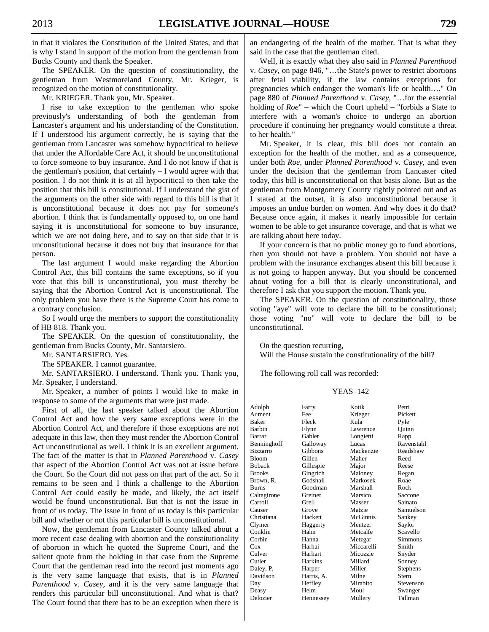in that it violates the Constitution of the United States, and that is why I stand in support of the motion from the gentleman from Bucks County and thank the Speaker.

 The SPEAKER. On the question of constitutionality, the gentleman from Westmoreland County, Mr. Krieger, is recognized on the motion of constitutionality.

Mr. KRIEGER. Thank you, Mr. Speaker.

 I rise to take exception to the gentleman who spoke previously's understanding of both the gentleman from Lancaster's argument and his understanding of the Constitution. If I understood his argument correctly, he is saying that the gentleman from Lancaster was somehow hypocritical to believe that under the Affordable Care Act, it should be unconstitutional to force someone to buy insurance. And I do not know if that is the gentleman's position, that certainly – I would agree with that position. I do not think it is at all hypocritical to then take the position that this bill is constitutional. If I understand the gist of the arguments on the other side with regard to this bill is that it is unconstitutional because it does not pay for someone's abortion. I think that is fundamentally opposed to, on one hand saying it is unconstitutional for someone to buy insurance, which we are not doing here, and to say on that side that it is unconstitutional because it does not buy that insurance for that person.

 The last argument I would make regarding the Abortion Control Act, this bill contains the same exceptions, so if you vote that this bill is unconstitutional, you must thereby be saying that the Abortion Control Act is unconstitutional. The only problem you have there is the Supreme Court has come to a contrary conclusion.

 So I would urge the members to support the constitutionality of HB 818. Thank you.

 The SPEAKER. On the question of constitutionality, the gentleman from Bucks County, Mr. Santarsiero.

Mr. SANTARSIERO. Yes.

The SPEAKER. I cannot guarantee.

 Mr. SANTARSIERO. I understand. Thank you. Thank you, Mr. Speaker, I understand.

 Mr. Speaker, a number of points I would like to make in response to some of the arguments that were just made.

 First of all, the last speaker talked about the Abortion Control Act and how the very same exceptions were in the Abortion Control Act, and therefore if those exceptions are not adequate in this law, then they must render the Abortion Control Act unconstitutional as well. I think it is an excellent argument. The fact of the matter is that in *Planned Parenthood* v. *Casey* that aspect of the Abortion Control Act was not at issue before the Court. So the Court did not pass on that part of the act. So it remains to be seen and I think a challenge to the Abortion Control Act could easily be made, and likely, the act itself would be found unconstitutional. But that is not the issue in front of us today. The issue in front of us today is this particular bill and whether or not this particular bill is unconstitutional.

 Now, the gentleman from Lancaster County talked about a more recent case dealing with abortion and the constitutionality of abortion in which he quoted the Supreme Court, and the salient quote from the holding in that case from the Supreme Court that the gentleman read into the record just moments ago is the very same language that exists, that is in *Planned Parenthood* v. *Casey,* and it is the very same language that renders this particular bill unconstitutional. And what is that? The Court found that there has to be an exception when there is an endangering of the health of the mother. That is what they said in the case that the gentleman cited.

 Well, it is exactly what they also said in *Planned Parenthood*  v. *Casey*, on page 846, "…the State's power to restrict abortions after fetal viability, if the law contains exceptions for pregnancies which endanger the woman's life or health…." On page 880 of *Planned Parenthood* v. *Casey*, "…for the essential holding of *Roe*" – which the Court upheld – "forbids a State to interfere with a woman's choice to undergo an abortion procedure if continuing her pregnancy would constitute a threat to her health."

 Mr. Speaker, it is clear, this bill does not contain an exception for the health of the mother, and as a consequence, under both *Roe*, under *Planned Parenthood* v. *Casey*, and even under the decision that the gentleman from Lancaster cited today, this bill is unconstitutional on that basis alone. But as the gentleman from Montgomery County rightly pointed out and as I stated at the outset, it is also unconstitutional because it imposes an undue burden on women. And why does it do that? Because once again, it makes it nearly impossible for certain women to be able to get insurance coverage, and that is what we are talking about here today.

 If your concern is that no public money go to fund abortions, then you should not have a problem. You should not have a problem with the insurance exchanges absent this bill because it is not going to happen anyway. But you should be concerned about voting for a bill that is clearly unconstitutional, and therefore I ask that you support the motion. Thank you.

 The SPEAKER. On the question of constitutionality, those voting "aye" will vote to declare the bill to be constitutional; those voting "no" will vote to declare the bill to be unconstitutional.

 On the question recurring, Will the House sustain the constitutionality of the bill?

The following roll call was recorded:

#### YEAS–142

| Adolph          | Farry      | Kotik      | Petri      |
|-----------------|------------|------------|------------|
| Aument          | Fee        | Krieger    | Pickett    |
| <b>Baker</b>    | Fleck      | Kula       | Pyle       |
| Barbin          | Flynn      | Lawrence   | Quinn      |
| Barrar          | Gabler     | Longietti  | Rapp       |
| Benninghoff     | Galloway   | Lucas      | Ravenstahl |
| <b>Bizzarro</b> | Gibbons    | Mackenzie  | Readshaw   |
| <b>Bloom</b>    | Gillen     | Maher      | Reed       |
| <b>Boback</b>   | Gillespie  | Major      | Reese      |
| <b>Brooks</b>   | Gingrich   | Maloney    | Regan      |
| Brown, R.       | Godshall   | Markosek   | Roae       |
| Burns           | Goodman    | Marshall   | Rock       |
| Caltagirone     | Greiner    | Marsico    | Saccone    |
| Carroll         | Grell      | Masser     | Sainato    |
| Causer          | Grove      | Matzie     | Samuelson  |
| Christiana      | Hackett    | McGinnis   | Sankey     |
| Clymer          | Haggerty   | Mentzer    | Saylor     |
| Conklin         | Hahn       | Metcalfe   | Scavello   |
| Corbin          | Hanna      | Metzgar    | Simmons    |
| $\cos$          | Harhai     | Miccarelli | Smith      |
| Culver          | Harhart    | Micozzie   | Snyder     |
| Cutler          | Harkins    | Millard    | Sonney     |
| Daley, P.       | Harper     | Miller     | Stephens   |
| Davidson        | Harris, A. | Milne      | Stern      |
| Day             | Heffley    | Mirabito   | Stevenson  |
| Deasy           | Helm       | Moul       | Swanger    |
| Delozier        | Hennessey  | Mullery    | Tallman    |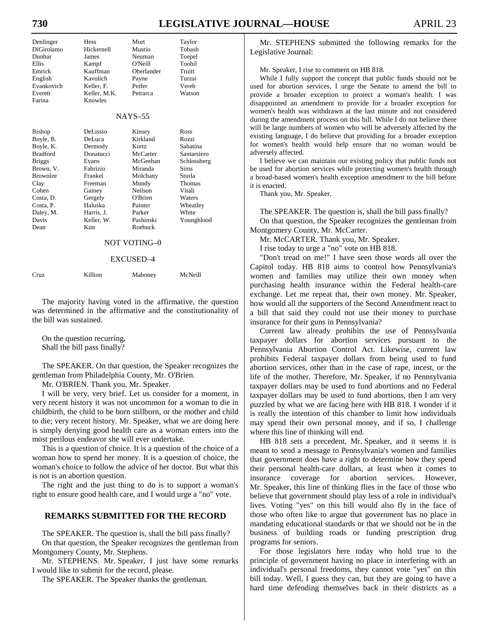# **730 LEGISLATIVE JOURNAL—HOUSE** APRIL 23

| Denlinger<br>DiGirolamo<br>Dunbar<br><b>Ellis</b><br>Emrick<br>English<br>Evankovich<br>Everett<br>Farina                                                                     | Hess<br>Hickernell<br>James<br>Kampf<br>Kauffman<br>Kavulich<br>Keller, F.<br>Keller, M.K.<br>Knowles                                                    | Murt<br>Mustio<br>Neuman<br>O'Neill<br>Oberlander<br>Payne<br>Peifer<br>Petrarca                                                                       | Taylor<br>Tobash<br>Toepel<br>Toohil<br>Truitt<br>Turzai<br>Vereb<br>Watson                                                                              |  |
|-------------------------------------------------------------------------------------------------------------------------------------------------------------------------------|----------------------------------------------------------------------------------------------------------------------------------------------------------|--------------------------------------------------------------------------------------------------------------------------------------------------------|----------------------------------------------------------------------------------------------------------------------------------------------------------|--|
| $NAYS-55$                                                                                                                                                                     |                                                                                                                                                          |                                                                                                                                                        |                                                                                                                                                          |  |
| Bishop<br>Boyle, B.<br>Boyle, K.<br><b>Bradford</b><br><b>Briggs</b><br>Brown, V.<br><b>Brownlee</b><br>Clay<br>Cohen<br>Costa, D.<br>Costa, P.<br>Daley, M.<br>Davis<br>Dean | DeLissio<br>DeLuca<br>Dermody<br>Donatucci<br>Evans<br>Fabrizio<br>Frankel<br>Freeman<br>Gainey<br>Gergely<br>Haluska<br>Harris, J.<br>Keller, W.<br>Kim | Kinsey<br>Kirkland<br>Kortz<br>McCarter<br>McGeehan<br>Miranda<br>Molchany<br>Mundy<br>Neilson<br>O'Brien<br>Painter<br>Parker<br>Pashinski<br>Roebuck | Ross<br>Rozzi<br>Sabatina<br>Santarsiero<br>Schlossberg<br><b>Sims</b><br>Sturla<br><b>Thomas</b><br>Vitali<br>Waters<br>Wheatley<br>White<br>Youngblood |  |
| NOT VOTING-0                                                                                                                                                                  |                                                                                                                                                          |                                                                                                                                                        |                                                                                                                                                          |  |

#### EXCUSED–4

| Cruz | Killion | Mahoney | McNeill |
|------|---------|---------|---------|
|------|---------|---------|---------|

 The majority having voted in the affirmative, the question was determined in the affirmative and the constitutionality of the bill was sustained.

 On the question recurring, Shall the bill pass finally?

 The SPEAKER. On that question, the Speaker recognizes the gentleman from Philadelphia County, Mr. O'Brien.

Mr. O'BRIEN. Thank you, Mr. Speaker.

 I will be very, very brief. Let us consider for a moment, in very recent history it was not uncommon for a woman to die in childbirth, the child to be born stillborn, or the mother and child to die; very recent history. Mr. Speaker, what we are doing here is simply denying good health care as a woman enters into the most perilous endeavor she will ever undertake.

 This is a question of choice. It is a question of the choice of a woman how to spend her money. It is a question of choice, the woman's choice to follow the advice of her doctor. But what this is not is an abortion question.

 The right and the just thing to do is to support a woman's right to ensure good health care, and I would urge a "no" vote.

#### **REMARKS SUBMITTED FOR THE RECORD**

 The SPEAKER. The question is, shall the bill pass finally? On that question, the Speaker recognizes the gentleman from Montgomery County, Mr. Stephens.

 Mr. STEPHENS. Mr. Speaker, I just have some remarks I would like to submit for the record, please.

The SPEAKER. The Speaker thanks the gentleman.

 Mr. STEPHENS submitted the following remarks for the Legislative Journal:

Mr. Speaker, I rise to comment on HB 818.

 While I fully support the concept that public funds should not be used for abortion services, I urge the Senate to amend the bill to provide a broader exception to protect a woman's health. I was disappointed an amendment to provide for a broader exception for women's health was withdrawn at the last minute and not considered during the amendment process on this bill. While I do not believe there will be large numbers of women who will be adversely affected by the existing language, I do believe that providing for a broader exception for women's health would help ensure that no woman would be adversely affected.

 I believe we can maintain our existing policy that public funds not be used for abortion services while protecting women's health through a broad-based women's health exception amendment to the bill before it is enacted.

Thank you, Mr. Speaker.

 The SPEAKER. The question is, shall the bill pass finally? On that question, the Speaker recognizes the gentleman from Montgomery County, Mr. McCarter.

Mr. McCARTER. Thank you, Mr. Speaker.

I rise today to urge a "no" vote on HB 818.

 "Don't tread on me!" I have seen those words all over the Capitol today. HB 818 aims to control how Pennsylvania's women and families may utilize their own money when purchasing health insurance within the Federal health-care exchange. Let me repeat that, their own money. Mr. Speaker, how would all the supporters of the Second Amendment react to a bill that said they could not use their money to purchase insurance for their guns in Pennsylvania?

 Current law already prohibits the use of Pennsylvania taxpayer dollars for abortion services pursuant to the Pennsylvania Abortion Control Act. Likewise, current law prohibits Federal taxpayer dollars from being used to fund abortion services, other than in the case of rape, incest, or the life of the mother. Therefore, Mr. Speaker, if no Pennsylvania taxpayer dollars may be used to fund abortions and no Federal taxpayer dollars may be used to fund abortions, then I am very puzzled by what we are facing here with HB 818. I wonder if it is really the intention of this chamber to limit how individuals may spend their own personal money, and if so, I challenge where this line of thinking will end.

 HB 818 sets a precedent, Mr. Speaker, and it seems it is meant to send a message to Pennsylvania's women and families that government does have a right to determine how they spend their personal health-care dollars, at least when it comes to insurance coverage for abortion services. However, Mr. Speaker, this line of thinking flies in the face of those who believe that government should play less of a role in individual's lives. Voting "yes" on this bill would also fly in the face of those who often like to argue that government has no place in mandating educational standards or that we should not be in the business of building roads or funding prescription drug programs for seniors.

 For those legislators here today who hold true to the principle of government having no place in interfering with an individual's personal freedoms, they cannot vote "yes" on this bill today. Well, I guess they can, but they are going to have a hard time defending themselves back in their districts as a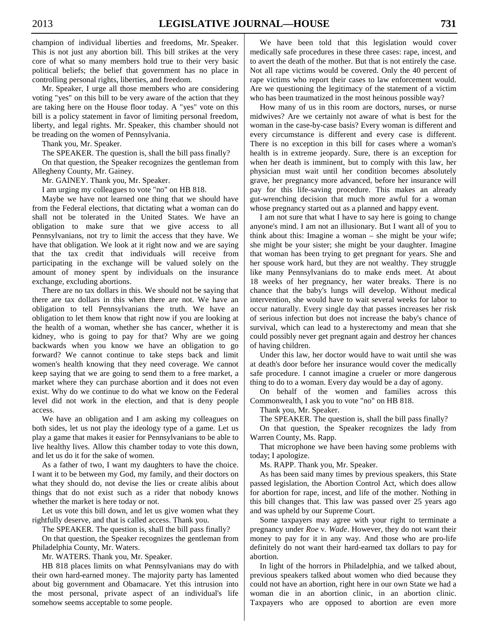champion of individual liberties and freedoms, Mr. Speaker. This is not just any abortion bill. This bill strikes at the very core of what so many members hold true to their very basic political beliefs; the belief that government has no place in controlling personal rights, liberties, and freedom.

 Mr. Speaker, I urge all those members who are considering voting "yes" on this bill to be very aware of the action that they are taking here on the House floor today. A "yes" vote on this bill is a policy statement in favor of limiting personal freedom, liberty, and legal rights. Mr. Speaker, this chamber should not be treading on the women of Pennsylvania.

Thank you, Mr. Speaker.

The SPEAKER. The question is, shall the bill pass finally?

 On that question, the Speaker recognizes the gentleman from Allegheny County, Mr. Gainey.

Mr. GAINEY. Thank you, Mr. Speaker.

I am urging my colleagues to vote "no" on HB 818.

 Maybe we have not learned one thing that we should have from the Federal elections, that dictating what a woman can do shall not be tolerated in the United States. We have an obligation to make sure that we give access to all Pennsylvanians, not try to limit the access that they have. We have that obligation. We look at it right now and we are saying that the tax credit that individuals will receive from participating in the exchange will be valued solely on the amount of money spent by individuals on the insurance exchange, excluding abortions.

 There are no tax dollars in this. We should not be saying that there are tax dollars in this when there are not. We have an obligation to tell Pennsylvanians the truth. We have an obligation to let them know that right now if you are looking at the health of a woman, whether she has cancer, whether it is kidney, who is going to pay for that? Why are we going backwards when you know we have an obligation to go forward? We cannot continue to take steps back and limit women's health knowing that they need coverage. We cannot keep saying that we are going to send them to a free market, a market where they can purchase abortion and it does not even exist. Why do we continue to do what we know on the Federal level did not work in the election, and that is deny people access.

 We have an obligation and I am asking my colleagues on both sides, let us not play the ideology type of a game. Let us play a game that makes it easier for Pennsylvanians to be able to live healthy lives. Allow this chamber today to vote this down, and let us do it for the sake of women.

 As a father of two, I want my daughters to have the choice. I want it to be between my God, my family, and their doctors on what they should do, not devise the lies or create alibis about things that do not exist such as a rider that nobody knows whether the market is here today or not.

 Let us vote this bill down, and let us give women what they rightfully deserve, and that is called access. Thank you.

The SPEAKER. The question is, shall the bill pass finally?

 On that question, the Speaker recognizes the gentleman from Philadelphia County, Mr. Waters.

Mr. WATERS. Thank you, Mr. Speaker.

 HB 818 places limits on what Pennsylvanians may do with their own hard-earned money. The majority party has lamented about big government and Obamacare. Yet this intrusion into the most personal, private aspect of an individual's life somehow seems acceptable to some people.

 We have been told that this legislation would cover medically safe procedures in these three cases: rape, incest, and to avert the death of the mother. But that is not entirely the case. Not all rape victims would be covered. Only the 40 percent of rape victims who report their cases to law enforcement would. Are we questioning the legitimacy of the statement of a victim who has been traumatized in the most heinous possible way?

 How many of us in this room are doctors, nurses, or nurse midwives? Are we certainly not aware of what is best for the woman in the case-by-case basis? Every woman is different and every circumstance is different and every case is different. There is no exception in this bill for cases where a woman's health is in extreme jeopardy. Sure, there is an exception for when her death is imminent, but to comply with this law, her physician must wait until her condition becomes absolutely grave, her pregnancy more advanced, before her insurance will pay for this life-saving procedure. This makes an already gut-wrenching decision that much more awful for a woman whose pregnancy started out as a planned and happy event.

 I am not sure that what I have to say here is going to change anyone's mind. I am not an illusionary. But I want all of you to think about this: Imagine a woman – she might be your wife; she might be your sister; she might be your daughter. Imagine that woman has been trying to get pregnant for years. She and her spouse work hard, but they are not wealthy. They struggle like many Pennsylvanians do to make ends meet. At about 18 weeks of her pregnancy, her water breaks. There is no chance that the baby's lungs will develop. Without medical intervention, she would have to wait several weeks for labor to occur naturally. Every single day that passes increases her risk of serious infection but does not increase the baby's chance of survival, which can lead to a hysterectomy and mean that she could possibly never get pregnant again and destroy her chances of having children.

 Under this law, her doctor would have to wait until she was at death's door before her insurance would cover the medically safe procedure. I cannot imagine a crueler or more dangerous thing to do to a woman. Every day would be a day of agony.

 On behalf of the women and families across this Commonwealth, I ask you to vote "no" on HB 818.

Thank you, Mr. Speaker.

The SPEAKER. The question is, shall the bill pass finally?

 On that question, the Speaker recognizes the lady from Warren County, Ms. Rapp.

 That microphone we have been having some problems with today; I apologize.

Ms. RAPP. Thank you, Mr. Speaker.

 As has been said many times by previous speakers, this State passed legislation, the Abortion Control Act, which does allow for abortion for rape, incest, and life of the mother. Nothing in this bill changes that. This law was passed over 25 years ago and was upheld by our Supreme Court.

 Some taxpayers may agree with your right to terminate a pregnancy under *Roe* v. *Wade*. However, they do not want their money to pay for it in any way. And those who are pro-life definitely do not want their hard-earned tax dollars to pay for abortion.

 In light of the horrors in Philadelphia, and we talked about, previous speakers talked about women who died because they could not have an abortion, right here in our own State we had a woman die in an abortion clinic, in an abortion clinic. Taxpayers who are opposed to abortion are even more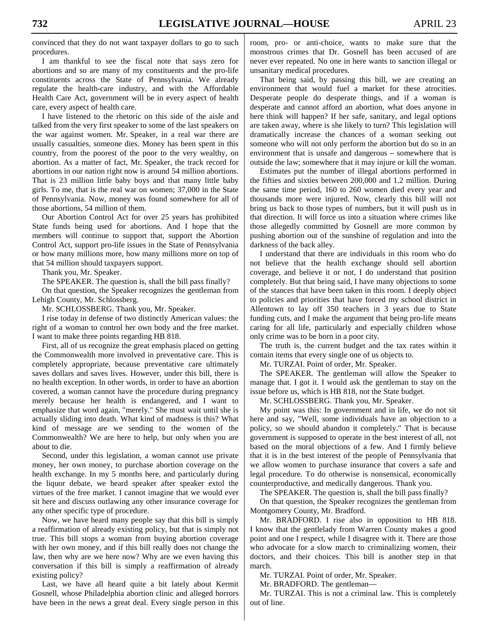convinced that they do not want taxpayer dollars to go to such procedures.

 I am thankful to see the fiscal note that says zero for abortions and so are many of my constituents and the pro-life constituents across the State of Pennsylvania. We already regulate the health-care industry, and with the Affordable Health Care Act, government will be in every aspect of health care, every aspect of health care.

 I have listened to the rhetoric on this side of the aisle and talked from the very first speaker to some of the last speakers on the war against women. Mr. Speaker, in a real war there are usually casualties, someone dies. Money has been spent in this country, from the poorest of the poor to the very wealthy, on abortion. As a matter of fact, Mr. Speaker, the track record for abortions in our nation right now is around 54 million abortions. That is 23 million little baby boys and that many little baby girls. To me, that is the real war on women; 37,000 in the State of Pennsylvania. Now, money was found somewhere for all of those abortions, 54 million of them.

 Our Abortion Control Act for over 25 years has prohibited State funds being used for abortions. And I hope that the members will continue to support that, support the Abortion Control Act, support pro-life issues in the State of Pennsylvania or how many millions more, how many millions more on top of that 54 million should taxpayers support.

Thank you, Mr. Speaker.

The SPEAKER. The question is, shall the bill pass finally?

 On that question, the Speaker recognizes the gentleman from Lehigh County, Mr. Schlossberg.

Mr. SCHLOSSBERG. Thank you, Mr. Speaker.

 I rise today in defense of two distinctly American values: the right of a woman to control her own body and the free market. I want to make three points regarding HB 818.

 First, all of us recognize the great emphasis placed on getting the Commonwealth more involved in preventative care. This is completely appropriate, because preventative care ultimately saves dollars and saves lives. However, under this bill, there is no health exception. In other words, in order to have an abortion covered, a woman cannot have the procedure during pregnancy merely because her health is endangered, and I want to emphasize that word again, "merely." She must wait until she is actually sliding into death. What kind of madness is this? What kind of message are we sending to the women of the Commonwealth? We are here to help, but only when you are about to die.

 Second, under this legislation, a woman cannot use private money, her own money, to purchase abortion coverage on the health exchange. In my 5 months here, and particularly during the liquor debate, we heard speaker after speaker extol the virtues of the free market. I cannot imagine that we would ever sit here and discuss outlawing any other insurance coverage for any other specific type of procedure.

 Now, we have heard many people say that this bill is simply a reaffirmation of already existing policy, but that is simply not true. This bill stops a woman from buying abortion coverage with her own money, and if this bill really does not change the law, then why are we here now? Why are we even having this conversation if this bill is simply a reaffirmation of already existing policy?

 Last, we have all heard quite a bit lately about Kermit Gosnell, whose Philadelphia abortion clinic and alleged horrors have been in the news a great deal. Every single person in this room, pro- or anti-choice, wants to make sure that the monstrous crimes that Dr. Gosnell has been accused of are never ever repeated. No one in here wants to sanction illegal or unsanitary medical procedures.

 That being said, by passing this bill, we are creating an environment that would fuel a market for these atrocities. Desperate people do desperate things, and if a woman is desperate and cannot afford an abortion, what does anyone in here think will happen? If her safe, sanitary, and legal options are taken away, where is she likely to turn? This legislation will dramatically increase the chances of a woman seeking out someone who will not only perform the abortion but do so in an environment that is unsafe and dangerous – somewhere that is outside the law; somewhere that it may injure or kill the woman.

 Estimates put the number of illegal abortions performed in the fifties and sixties between 200,000 and 1.2 million. During the same time period, 160 to 260 women died every year and thousands more were injured. Now, clearly this bill will not bring us back to those types of numbers, but it will push us in that direction. It will force us into a situation where crimes like those allegedly committed by Gosnell are more common by pushing abortion out of the sunshine of regulation and into the darkness of the back alley.

 I understand that there are individuals in this room who do not believe that the health exchange should sell abortion coverage, and believe it or not, I do understand that position completely. But that being said, I have many objections to some of the stances that have been taken in this room. I deeply object to policies and priorities that have forced my school district in Allentown to lay off 350 teachers in 3 years due to State funding cuts, and I make the argument that being pro-life means caring for all life, particularly and especially children whose only crime was to be born in a poor city.

 The truth is, the current budget and the tax rates within it contain items that every single one of us objects to.

Mr. TURZAI. Point of order, Mr. Speaker.

 The SPEAKER. The gentleman will allow the Speaker to manage that. I got it. I would ask the gentleman to stay on the issue before us, which is HB 818, not the State budget.

Mr. SCHLOSSBERG. Thank you, Mr. Speaker.

 My point was this: In government and in life, we do not sit here and say, "Well, some individuals have an objection to a policy, so we should abandon it completely." That is because government is supposed to operate in the best interest of all, not based on the moral objections of a few. And I firmly believe that it is in the best interest of the people of Pennsylvania that we allow women to purchase insurance that covers a safe and legal procedure. To do otherwise is nonsensical, economically counterproductive, and medically dangerous. Thank you.

The SPEAKER. The question is, shall the bill pass finally?

 On that question, the Speaker recognizes the gentleman from Montgomery County, Mr. Bradford.

 Mr. BRADFORD. I rise also in opposition to HB 818. I know that the gentlelady from Warren County makes a good point and one I respect, while I disagree with it. There are those who advocate for a slow march to criminalizing women, their doctors, and their choices. This bill is another step in that march.

Mr. TURZAI. Point of order, Mr. Speaker.

Mr. BRADFORD. The gentleman—

 Mr. TURZAI. This is not a criminal law. This is completely out of line.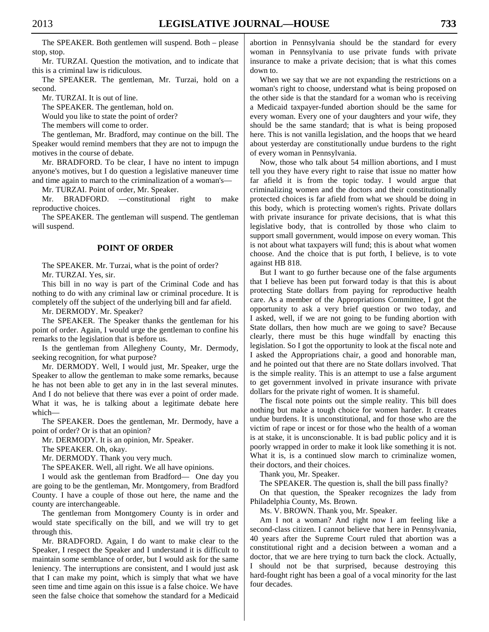The SPEAKER. Both gentlemen will suspend. Both – please stop, stop.

 Mr. TURZAI. Question the motivation, and to indicate that this is a criminal law is ridiculous.

 The SPEAKER. The gentleman, Mr. Turzai, hold on a second.

Mr. TURZAI. It is out of line.

The SPEAKER. The gentleman, hold on.

Would you like to state the point of order?

The members will come to order.

 The gentleman, Mr. Bradford, may continue on the bill. The Speaker would remind members that they are not to impugn the motives in the course of debate.

 Mr. BRADFORD. To be clear, I have no intent to impugn anyone's motives, but I do question a legislative maneuver time and time again to march to the criminalization of a woman's—

Mr. TURZAI. Point of order, Mr. Speaker.

 Mr. BRADFORD. —constitutional right to make reproductive choices.

 The SPEAKER. The gentleman will suspend. The gentleman will suspend.

#### **POINT OF ORDER**

 The SPEAKER. Mr. Turzai, what is the point of order? Mr. TURZAI. Yes, sir.

 This bill in no way is part of the Criminal Code and has nothing to do with any criminal law or criminal procedure. It is completely off the subject of the underlying bill and far afield.

Mr. DERMODY. Mr. Speaker?

 The SPEAKER. The Speaker thanks the gentleman for his point of order. Again, I would urge the gentleman to confine his remarks to the legislation that is before us.

 Is the gentleman from Allegheny County, Mr. Dermody, seeking recognition, for what purpose?

 Mr. DERMODY. Well, I would just, Mr. Speaker, urge the Speaker to allow the gentleman to make some remarks, because he has not been able to get any in in the last several minutes. And I do not believe that there was ever a point of order made. What it was, he is talking about a legitimate debate here which—

 The SPEAKER. Does the gentleman, Mr. Dermody, have a point of order? Or is that an opinion?

Mr. DERMODY. It is an opinion, Mr. Speaker.

The SPEAKER. Oh, okay.

Mr. DERMODY. Thank you very much.

The SPEAKER. Well, all right. We all have opinions.

 I would ask the gentleman from Bradford— One day you are going to be the gentleman, Mr. Montgomery, from Bradford County. I have a couple of those out here, the name and the county are interchangeable.

 The gentleman from Montgomery County is in order and would state specifically on the bill, and we will try to get through this.

 Mr. BRADFORD. Again, I do want to make clear to the Speaker, I respect the Speaker and I understand it is difficult to maintain some semblance of order, but I would ask for the same leniency. The interruptions are consistent, and I would just ask that I can make my point, which is simply that what we have seen time and time again on this issue is a false choice. We have seen the false choice that somehow the standard for a Medicaid abortion in Pennsylvania should be the standard for every woman in Pennsylvania to use private funds with private insurance to make a private decision; that is what this comes down to.

 When we say that we are not expanding the restrictions on a woman's right to choose, understand what is being proposed on the other side is that the standard for a woman who is receiving a Medicaid taxpayer-funded abortion should be the same for every woman. Every one of your daughters and your wife, they should be the same standard; that is what is being proposed here. This is not vanilla legislation, and the hoops that we heard about yesterday are constitutionally undue burdens to the right of every woman in Pennsylvania.

 Now, those who talk about 54 million abortions, and I must tell you they have every right to raise that issue no matter how far afield it is from the topic today. I would argue that criminalizing women and the doctors and their constitutionally protected choices is far afield from what we should be doing in this body, which is protecting women's rights. Private dollars with private insurance for private decisions, that is what this legislative body, that is controlled by those who claim to support small government, would impose on every woman. This is not about what taxpayers will fund; this is about what women choose. And the choice that is put forth, I believe, is to vote against HB 818.

 But I want to go further because one of the false arguments that I believe has been put forward today is that this is about protecting State dollars from paying for reproductive health care. As a member of the Appropriations Committee, I got the opportunity to ask a very brief question or two today, and I asked, well, if we are not going to be funding abortion with State dollars, then how much are we going to save? Because clearly, there must be this huge windfall by enacting this legislation. So I got the opportunity to look at the fiscal note and I asked the Appropriations chair, a good and honorable man, and he pointed out that there are no State dollars involved. That is the simple reality. This is an attempt to use a false argument to get government involved in private insurance with private dollars for the private right of women. It is shameful.

 The fiscal note points out the simple reality. This bill does nothing but make a tough choice for women harder. It creates undue burdens. It is unconstitutional, and for those who are the victim of rape or incest or for those who the health of a woman is at stake, it is unconscionable. It is bad public policy and it is poorly wrapped in order to make it look like something it is not. What it is, is a continued slow march to criminalize women, their doctors, and their choices.

Thank you, Mr. Speaker.

The SPEAKER. The question is, shall the bill pass finally?

 On that question, the Speaker recognizes the lady from Philadelphia County, Ms. Brown.

Ms. V. BROWN. Thank you, Mr. Speaker.

 Am I not a woman? And right now I am feeling like a second-class citizen. I cannot believe that here in Pennsylvania, 40 years after the Supreme Court ruled that abortion was a constitutional right and a decision between a woman and a doctor, that we are here trying to turn back the clock. Actually, I should not be that surprised, because destroying this hard-fought right has been a goal of a vocal minority for the last four decades.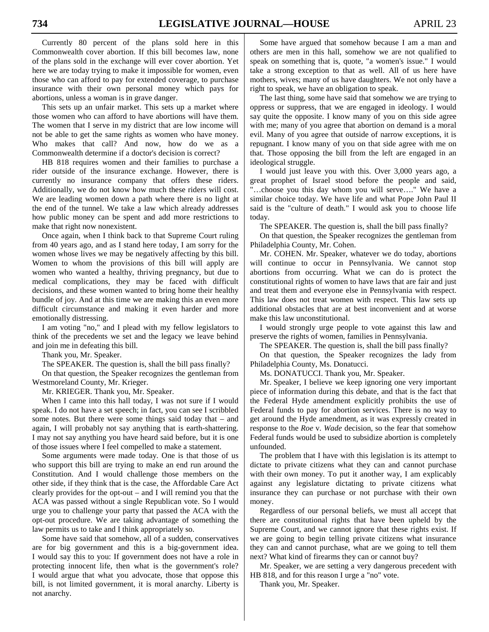Currently 80 percent of the plans sold here in this Commonwealth cover abortion. If this bill becomes law, none of the plans sold in the exchange will ever cover abortion. Yet here we are today trying to make it impossible for women, even those who can afford to pay for extended coverage, to purchase insurance with their own personal money which pays for abortions, unless a woman is in grave danger.

 This sets up an unfair market. This sets up a market where those women who can afford to have abortions will have them. The women that I serve in my district that are low income will not be able to get the same rights as women who have money. Who makes that call? And now, how do we as a Commonwealth determine if a doctor's decision is correct?

 HB 818 requires women and their families to purchase a rider outside of the insurance exchange. However, there is currently no insurance company that offers these riders. Additionally, we do not know how much these riders will cost. We are leading women down a path where there is no light at the end of the tunnel. We take a law which already addresses how public money can be spent and add more restrictions to make that right now nonexistent.

 Once again, when I think back to that Supreme Court ruling from 40 years ago, and as I stand here today, I am sorry for the women whose lives we may be negatively affecting by this bill. Women to whom the provisions of this bill will apply are women who wanted a healthy, thriving pregnancy, but due to medical complications, they may be faced with difficult decisions, and these women wanted to bring home their healthy bundle of joy. And at this time we are making this an even more difficult circumstance and making it even harder and more emotionally distressing.

 I am voting "no," and I plead with my fellow legislators to think of the precedents we set and the legacy we leave behind and join me in defeating this bill.

Thank you, Mr. Speaker.

The SPEAKER. The question is, shall the bill pass finally?

 On that question, the Speaker recognizes the gentleman from Westmoreland County, Mr. Krieger.

Mr. KRIEGER. Thank you, Mr. Speaker.

 When I came into this hall today, I was not sure if I would speak. I do not have a set speech; in fact, you can see I scribbled some notes. But there were some things said today that – and again, I will probably not say anything that is earth-shattering. I may not say anything you have heard said before, but it is one of those issues where I feel compelled to make a statement.

 Some arguments were made today. One is that those of us who support this bill are trying to make an end run around the Constitution. And I would challenge those members on the other side, if they think that is the case, the Affordable Care Act clearly provides for the opt-out – and I will remind you that the ACA was passed without a single Republican vote. So I would urge you to challenge your party that passed the ACA with the opt-out procedure. We are taking advantage of something the law permits us to take and I think appropriately so.

 Some have said that somehow, all of a sudden, conservatives are for big government and this is a big-government idea. I would say this to you: If government does not have a role in protecting innocent life, then what is the government's role? I would argue that what you advocate, those that oppose this bill, is not limited government, it is moral anarchy. Liberty is not anarchy.

 Some have argued that somehow because I am a man and others are men in this hall, somehow we are not qualified to speak on something that is, quote, "a women's issue." I would take a strong exception to that as well. All of us here have mothers, wives; many of us have daughters. We not only have a right to speak, we have an obligation to speak.

 The last thing, some have said that somehow we are trying to oppress or suppress, that we are engaged in ideology. I would say quite the opposite. I know many of you on this side agree with me; many of you agree that abortion on demand is a moral evil. Many of you agree that outside of narrow exceptions, it is repugnant. I know many of you on that side agree with me on that. Those opposing the bill from the left are engaged in an ideological struggle.

 I would just leave you with this. Over 3,000 years ago, a great prophet of Israel stood before the people and said, "…choose you this day whom you will serve…." We have a similar choice today. We have life and what Pope John Paul II said is the "culture of death." I would ask you to choose life today.

The SPEAKER. The question is, shall the bill pass finally?

 On that question, the Speaker recognizes the gentleman from Philadelphia County, Mr. Cohen.

 Mr. COHEN. Mr. Speaker, whatever we do today, abortions will continue to occur in Pennsylvania. We cannot stop abortions from occurring. What we can do is protect the constitutional rights of women to have laws that are fair and just and treat them and everyone else in Pennsylvania with respect. This law does not treat women with respect. This law sets up additional obstacles that are at best inconvenient and at worse make this law unconstitutional.

 I would strongly urge people to vote against this law and preserve the rights of women, families in Pennsylvania.

The SPEAKER. The question is, shall the bill pass finally?

 On that question, the Speaker recognizes the lady from Philadelphia County, Ms. Donatucci.

Ms. DONATUCCI. Thank you, Mr. Speaker.

 Mr. Speaker, I believe we keep ignoring one very important piece of information during this debate, and that is the fact that the Federal Hyde amendment explicitly prohibits the use of Federal funds to pay for abortion services. There is no way to get around the Hyde amendment, as it was expressly created in response to the *Roe* v. *Wade* decision, so the fear that somehow Federal funds would be used to subsidize abortion is completely unfounded.

 The problem that I have with this legislation is its attempt to dictate to private citizens what they can and cannot purchase with their own money. To put it another way, I am explicably against any legislature dictating to private citizens what insurance they can purchase or not purchase with their own money.

 Regardless of our personal beliefs, we must all accept that there are constitutional rights that have been upheld by the Supreme Court, and we cannot ignore that these rights exist. If we are going to begin telling private citizens what insurance they can and cannot purchase, what are we going to tell them next? What kind of firearms they can or cannot buy?

 Mr. Speaker, we are setting a very dangerous precedent with HB 818, and for this reason I urge a "no" vote.

Thank you, Mr. Speaker.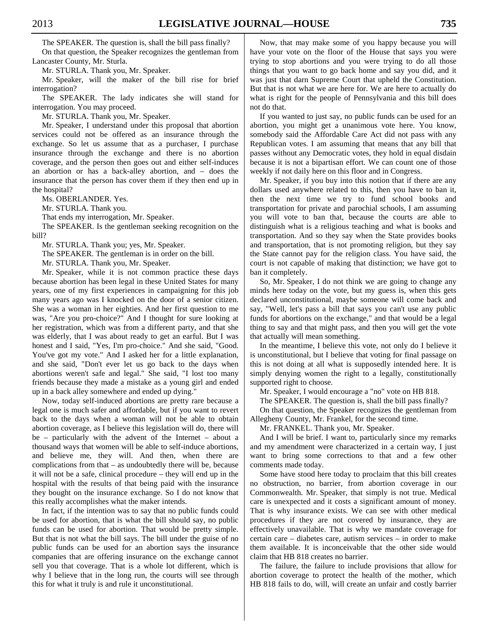The SPEAKER. The question is, shall the bill pass finally? On that question, the Speaker recognizes the gentleman from

Lancaster County, Mr. Sturla.

Mr. STURLA. Thank you, Mr. Speaker.

 Mr. Speaker, will the maker of the bill rise for brief interrogation?

 The SPEAKER. The lady indicates she will stand for interrogation. You may proceed.

Mr. STURLA. Thank you, Mr. Speaker.

 Mr. Speaker, I understand under this proposal that abortion services could not be offered as an insurance through the exchange. So let us assume that as a purchaser, I purchase insurance through the exchange and there is no abortion coverage, and the person then goes out and either self-induces an abortion or has a back-alley abortion, and – does the insurance that the person has cover them if they then end up in the hospital?

Ms. OBERLANDER. Yes.

Mr. STURLA. Thank you.

That ends my interrogation, Mr. Speaker.

 The SPEAKER. Is the gentleman seeking recognition on the bill?

Mr. STURLA. Thank you; yes, Mr. Speaker.

The SPEAKER. The gentleman is in order on the bill.

Mr. STURLA. Thank you, Mr. Speaker.

 Mr. Speaker, while it is not common practice these days because abortion has been legal in these United States for many years, one of my first experiences in campaigning for this job many years ago was I knocked on the door of a senior citizen. She was a woman in her eighties. And her first question to me was, "Are you pro-choice?" And I thought for sure looking at her registration, which was from a different party, and that she was elderly, that I was about ready to get an earful. But I was honest and I said, "Yes, I'm pro-choice." And she said, "Good. You've got my vote." And I asked her for a little explanation, and she said, "Don't ever let us go back to the days when abortions weren't safe and legal." She said, "I lost too many friends because they made a mistake as a young girl and ended up in a back alley somewhere and ended up dying."

 Now, today self-induced abortions are pretty rare because a legal one is much safer and affordable, but if you want to revert back to the days when a woman will not be able to obtain abortion coverage, as I believe this legislation will do, there will be – particularly with the advent of the Internet – about a thousand ways that women will be able to self-induce abortions, and believe me, they will. And then, when there are complications from that – as undoubtedly there will be, because it will not be a safe, clinical procedure – they will end up in the hospital with the results of that being paid with the insurance they bought on the insurance exchange. So I do not know that this really accomplishes what the maker intends.

 In fact, if the intention was to say that no public funds could be used for abortion, that is what the bill should say, no public funds can be used for abortion. That would be pretty simple. But that is not what the bill says. The bill under the guise of no public funds can be used for an abortion says the insurance companies that are offering insurance on the exchange cannot sell you that coverage. That is a whole lot different, which is why I believe that in the long run, the courts will see through this for what it truly is and rule it unconstitutional.

 Now, that may make some of you happy because you will have your vote on the floor of the House that says you were trying to stop abortions and you were trying to do all those things that you want to go back home and say you did, and it was just that darn Supreme Court that upheld the Constitution. But that is not what we are here for. We are here to actually do what is right for the people of Pennsylvania and this bill does not do that.

 If you wanted to just say, no public funds can be used for an abortion, you might get a unanimous vote here. You know, somebody said the Affordable Care Act did not pass with any Republican votes. I am assuming that means that any bill that passes without any Democratic votes, they hold in equal disdain because it is not a bipartisan effort. We can count one of those weekly if not daily here on this floor and in Congress.

 Mr. Speaker, if you buy into this notion that if there are any dollars used anywhere related to this, then you have to ban it, then the next time we try to fund school books and transportation for private and parochial schools, I am assuming you will vote to ban that, because the courts are able to distinguish what is a religious teaching and what is books and transportation. And so they say when the State provides books and transportation, that is not promoting religion, but they say the State cannot pay for the religion class. You have said, the court is not capable of making that distinction; we have got to ban it completely.

 So, Mr. Speaker, I do not think we are going to change any minds here today on the vote, but my guess is, when this gets declared unconstitutional, maybe someone will come back and say, "Well, let's pass a bill that says you can't use any public funds for abortions on the exchange," and that would be a legal thing to say and that might pass, and then you will get the vote that actually will mean something.

 In the meantime, I believe this vote, not only do I believe it is unconstitutional, but I believe that voting for final passage on this is not doing at all what is supposedly intended here. It is simply denying women the right to a legally, constitutionally supported right to choose.

Mr. Speaker, I would encourage a "no" vote on HB 818.

The SPEAKER. The question is, shall the bill pass finally?

 On that question, the Speaker recognizes the gentleman from Allegheny County, Mr. Frankel, for the second time.

Mr. FRANKEL. Thank you, Mr. Speaker.

 And I will be brief. I want to, particularly since my remarks and my amendment were characterized in a certain way, I just want to bring some corrections to that and a few other comments made today.

 Some have stood here today to proclaim that this bill creates no obstruction, no barrier, from abortion coverage in our Commonwealth. Mr. Speaker, that simply is not true. Medical care is unexpected and it costs a significant amount of money. That is why insurance exists. We can see with other medical procedures if they are not covered by insurance, they are effectively unavailable. That is why we mandate coverage for certain care – diabetes care, autism services – in order to make them available. It is inconceivable that the other side would claim that HB 818 creates no barrier.

 The failure, the failure to include provisions that allow for abortion coverage to protect the health of the mother, which HB 818 fails to do, will, will create an unfair and costly barrier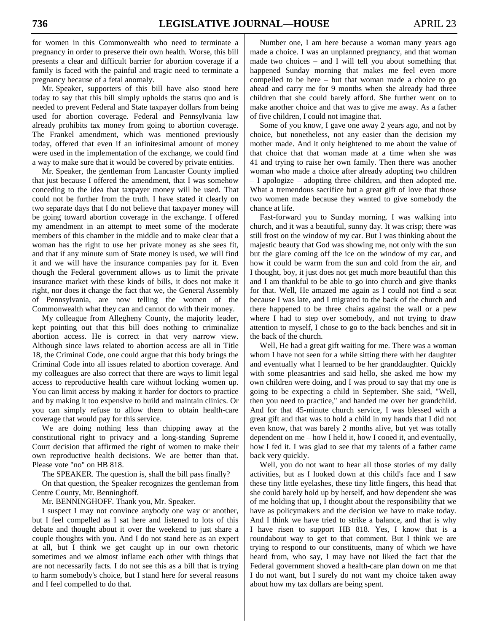for women in this Commonwealth who need to terminate a pregnancy in order to preserve their own health. Worse, this bill presents a clear and difficult barrier for abortion coverage if a family is faced with the painful and tragic need to terminate a pregnancy because of a fetal anomaly.

 Mr. Speaker, supporters of this bill have also stood here today to say that this bill simply upholds the status quo and is needed to prevent Federal and State taxpayer dollars from being used for abortion coverage. Federal and Pennsylvania law already prohibits tax money from going to abortion coverage. The Frankel amendment, which was mentioned previously today, offered that even if an infinitesimal amount of money were used in the implementation of the exchange, we could find a way to make sure that it would be covered by private entities.

 Mr. Speaker, the gentleman from Lancaster County implied that just because I offered the amendment, that I was somehow conceding to the idea that taxpayer money will be used. That could not be further from the truth. I have stated it clearly on two separate days that I do not believe that taxpayer money will be going toward abortion coverage in the exchange. I offered my amendment in an attempt to meet some of the moderate members of this chamber in the middle and to make clear that a woman has the right to use her private money as she sees fit, and that if any minute sum of State money is used, we will find it and we will have the insurance companies pay for it. Even though the Federal government allows us to limit the private insurance market with these kinds of bills, it does not make it right, nor does it change the fact that we, the General Assembly of Pennsylvania, are now telling the women of the Commonwealth what they can and cannot do with their money.

 My colleague from Allegheny County, the majority leader, kept pointing out that this bill does nothing to criminalize abortion access. He is correct in that very narrow view. Although since laws related to abortion access are all in Title 18, the Criminal Code, one could argue that this body brings the Criminal Code into all issues related to abortion coverage. And my colleagues are also correct that there are ways to limit legal access to reproductive health care without locking women up. You can limit access by making it harder for doctors to practice and by making it too expensive to build and maintain clinics. Or you can simply refuse to allow them to obtain health-care coverage that would pay for this service.

 We are doing nothing less than chipping away at the constitutional right to privacy and a long-standing Supreme Court decision that affirmed the right of women to make their own reproductive health decisions. We are better than that. Please vote "no" on HB 818.

The SPEAKER. The question is, shall the bill pass finally?

 On that question, the Speaker recognizes the gentleman from Centre County, Mr. Benninghoff.

Mr. BENNINGHOFF. Thank you, Mr. Speaker.

 I suspect I may not convince anybody one way or another, but I feel compelled as I sat here and listened to lots of this debate and thought about it over the weekend to just share a couple thoughts with you. And I do not stand here as an expert at all, but I think we get caught up in our own rhetoric sometimes and we almost inflame each other with things that are not necessarily facts. I do not see this as a bill that is trying to harm somebody's choice, but I stand here for several reasons and I feel compelled to do that.

 Number one, I am here because a woman many years ago made a choice. I was an unplanned pregnancy, and that woman made two choices – and I will tell you about something that happened Sunday morning that makes me feel even more compelled to be here – but that woman made a choice to go ahead and carry me for 9 months when she already had three children that she could barely afford. She further went on to make another choice and that was to give me away. As a father of five children, I could not imagine that.

 Some of you know, I gave one away 2 years ago, and not by choice, but nonetheless, not any easier than the decision my mother made. And it only heightened to me about the value of that choice that that woman made at a time when she was 41 and trying to raise her own family. Then there was another woman who made a choice after already adopting two children – I apologize – adopting three children, and then adopted me. What a tremendous sacrifice but a great gift of love that those two women made because they wanted to give somebody the chance at life.

 Fast-forward you to Sunday morning. I was walking into church, and it was a beautiful, sunny day. It was crisp; there was still frost on the window of my car. But I was thinking about the majestic beauty that God was showing me, not only with the sun but the glare coming off the ice on the window of my car, and how it could be warm from the sun and cold from the air, and I thought, boy, it just does not get much more beautiful than this and I am thankful to be able to go into church and give thanks for that. Well, He amazed me again as I could not find a seat because I was late, and I migrated to the back of the church and there happened to be three chairs against the wall or a pew where I had to step over somebody, and not trying to draw attention to myself, I chose to go to the back benches and sit in the back of the church.

 Well, He had a great gift waiting for me. There was a woman whom I have not seen for a while sitting there with her daughter and eventually what I learned to be her granddaughter. Quickly with some pleasantries and said hello, she asked me how my own children were doing, and I was proud to say that my one is going to be expecting a child in September. She said, "Well, then you need to practice," and handed me over her grandchild. And for that 45-minute church service, I was blessed with a great gift and that was to hold a child in my hands that I did not even know, that was barely 2 months alive, but yet was totally dependent on me – how I held it, how I cooed it, and eventually, how I fed it. I was glad to see that my talents of a father came back very quickly.

 Well, you do not want to hear all those stories of my daily activities, but as I looked down at this child's face and I saw these tiny little eyelashes, these tiny little fingers, this head that she could barely hold up by herself, and how dependent she was of me holding that up, I thought about the responsibility that we have as policymakers and the decision we have to make today. And I think we have tried to strike a balance, and that is why I have risen to support HB 818. Yes, I know that is a roundabout way to get to that comment. But I think we are trying to respond to our constituents, many of which we have heard from, who say, I may have not liked the fact that the Federal government shoved a health-care plan down on me that I do not want, but I surely do not want my choice taken away about how my tax dollars are being spent.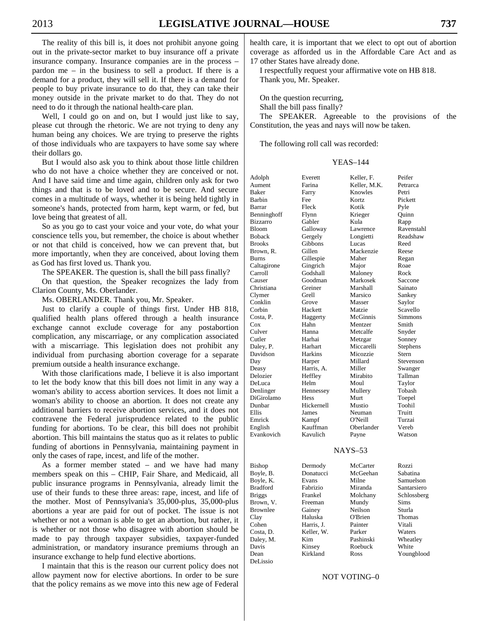The reality of this bill is, it does not prohibit anyone going out in the private-sector market to buy insurance off a private insurance company. Insurance companies are in the process – pardon me – in the business to sell a product. If there is a demand for a product, they will sell it. If there is a demand for people to buy private insurance to do that, they can take their money outside in the private market to do that. They do not need to do it through the national health-care plan.

 Well, I could go on and on, but I would just like to say, please cut through the rhetoric. We are not trying to deny any human being any choices. We are trying to preserve the rights of those individuals who are taxpayers to have some say where their dollars go.

 But I would also ask you to think about those little children who do not have a choice whether they are conceived or not. And I have said time and time again, children only ask for two things and that is to be loved and to be secure. And secure comes in a multitude of ways, whether it is being held tightly in someone's hands, protected from harm, kept warm, or fed, but love being that greatest of all.

 So as you go to cast your voice and your vote, do what your conscience tells you, but remember, the choice is about whether or not that child is conceived, how we can prevent that, but more importantly, when they are conceived, about loving them as God has first loved us. Thank you.

The SPEAKER. The question is, shall the bill pass finally?

 On that question, the Speaker recognizes the lady from Clarion County, Ms. Oberlander.

Ms. OBERLANDER. Thank you, Mr. Speaker.

 Just to clarify a couple of things first. Under HB 818, qualified health plans offered through a health insurance exchange cannot exclude coverage for any postabortion complication, any miscarriage, or any complication associated with a miscarriage. This legislation does not prohibit any individual from purchasing abortion coverage for a separate premium outside a health insurance exchange.

 With those clarifications made, I believe it is also important to let the body know that this bill does not limit in any way a woman's ability to access abortion services. It does not limit a woman's ability to choose an abortion. It does not create any additional barriers to receive abortion services, and it does not contravene the Federal jurisprudence related to the public funding for abortions. To be clear, this bill does not prohibit abortion. This bill maintains the status quo as it relates to public funding of abortions in Pennsylvania, maintaining payment in only the cases of rape, incest, and life of the mother.

 As a former member stated – and we have had many members speak on this – CHIP, Fair Share, and Medicaid, all public insurance programs in Pennsylvania, already limit the use of their funds to these three areas: rape, incest, and life of the mother. Most of Pennsylvania's 35,000-plus, 35,000-plus abortions a year are paid for out of pocket. The issue is not whether or not a woman is able to get an abortion, but rather, it is whether or not those who disagree with abortion should be made to pay through taxpayer subsidies, taxpayer-funded administration, or mandatory insurance premiums through an insurance exchange to help fund elective abortions.

 I maintain that this is the reason our current policy does not allow payment now for elective abortions. In order to be sure that the policy remains as we move into this new age of Federal health care, it is important that we elect to opt out of abortion coverage as afforded us in the Affordable Care Act and as 17 other States have already done.

 I respectfully request your affirmative vote on HB 818. Thank you, Mr. Speaker.

 On the question recurring, Shall the bill pass finally?

 The SPEAKER. Agreeable to the provisions of the Constitution, the yeas and nays will now be taken.

The following roll call was recorded:

#### YEAS–144

| Adolph        | Everett        | Keller, F.   | Peifer      |
|---------------|----------------|--------------|-------------|
| Aument        | Farina         | Keller, M.K. | Petrarca    |
| Baker         | Farry          | Knowles      | Petri       |
| Barbin        | Fee            | Kortz        | Pickett     |
| Barrar        | Fleck          | Kotik        | Pyle        |
| Benninghoff   | Flynn          | Krieger      | Quinn       |
| Bizzarro      | Gabler         | Kula         | Rapp        |
| Bloom         | Galloway       | Lawrence     | Ravenstahl  |
| Boback        | Gergely        | Longietti    | Readshaw    |
| <b>Brooks</b> | Gibbons        | Lucas        | Reed        |
| Brown, R.     | Gillen         | Mackenzie    | Reese       |
| Burns         | Gillespie      | Maher        | Regan       |
| Caltagirone   | Gingrich       | Major        | Roae        |
| Carroll       | Godshall       | Maloney      | Rock        |
| Causer        | Goodman        | Markosek     | Saccone     |
| Christiana    | Greiner        | Marshall     | Sainato     |
| Clymer        | Grell          | Marsico      | Sankey      |
| Conklin       | Grove          | Masser       | Saylor      |
| Corbin        | Hackett        | Matzie       | Scavello    |
| Costa, P.     | Haggerty       | McGinnis     | Simmons     |
| Cox           | Hahn           | Mentzer      | Smith       |
| Culver        | Hanna          | Metcalfe     | Snyder      |
| Cutler        | Harhai         | Metzgar      | Sonney      |
| Daley, P.     | Harhart        | Miccarelli   | Stephens    |
| Davidson      | <b>Harkins</b> | Micozzie     | Stern       |
| Day           | Harper         | Millard      | Stevenson   |
| Deasy         | Harris, A.     | Miller       | Swanger     |
| Delozier      | Heffley        | Mirabito     | Tallman     |
| DeLuca        | Helm           | Moul         | Taylor      |
| Denlinger     | Hennessey      | Mullery      | Tobash      |
| DiGirolamo    | Hess           | Murt         | Toepel      |
| Dunbar        | Hickernell     | Mustio       | Toohil      |
| Ellis         | James          | Neuman       | Truitt      |
| Emrick        | Kampf          | O'Neill      | Turzai      |
| English       | Kauffman       | Oberlander   | Vereb       |
| Evankovich    | Kavulich       | Payne        | Watson      |
|               |                |              |             |
|               |                | NAYS-53      |             |
| Bishop        | Dermody        | McCarter     | Rozzi       |
| Boyle, B.     | Donatucci      | McGeehan     | Sabatina    |
| Boyle, K.     | Evans          | Milne        | Samuelson   |
| Bradford      | Fabrizio       | Miranda      | Santarsiero |
| Briggs        | Frankel        | Molchany     | Schlossberg |
| Brown, V.     | Freeman        | Mundy        | Sims        |
| Brownlee      | Gainey         | Neilson      | Sturla      |
| Clay          | Haluska        | O'Brien      | Thomas      |
| Cohen         | Harris, J.     | Painter      | Vitali      |
| Costa, D.     | Keller, W.     | Parker       | Waters      |
| Daley, M.     | Kim            | Pashinski    | Wheatley    |
| Davis         | Kinsey         | Roebuck      | White       |
| Dean          | Kirkland       | Ross         | Youngblood  |
| DeLissio      |                |              |             |

#### NOT VOTING–0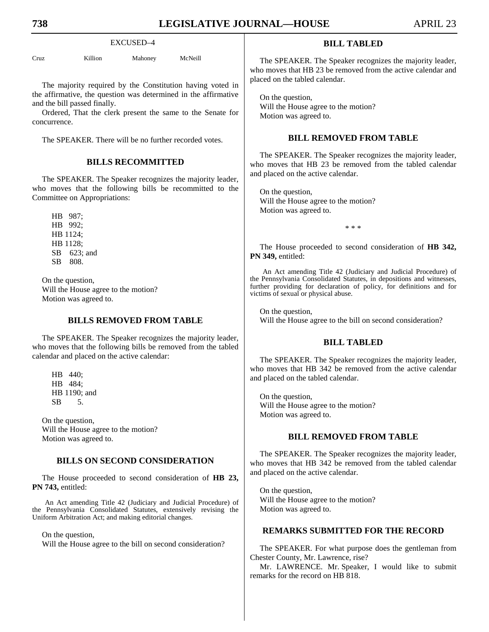#### EXCUSED–4

Cruz Killion Mahoney McNeill

 The majority required by the Constitution having voted in the affirmative, the question was determined in the affirmative and the bill passed finally.

 Ordered, That the clerk present the same to the Senate for concurrence.

The SPEAKER. There will be no further recorded votes.

## **BILLS RECOMMITTED**

 The SPEAKER. The Speaker recognizes the majority leader, who moves that the following bills be recommitted to the Committee on Appropriations:

 HB 987; HB 992; HB 1124; HB 1128; SB 623; and SB 808.

 On the question, Will the House agree to the motion? Motion was agreed to.

## **BILLS REMOVED FROM TABLE**

 The SPEAKER. The Speaker recognizes the majority leader, who moves that the following bills be removed from the tabled calendar and placed on the active calendar:

 HB 440; HB 484; HB 1190; and SB 5.

 On the question, Will the House agree to the motion? Motion was agreed to.

## **BILLS ON SECOND CONSIDERATION**

 The House proceeded to second consideration of **HB 23, PN 743,** entitled:

An Act amending Title 42 (Judiciary and Judicial Procedure) of the Pennsylvania Consolidated Statutes, extensively revising the Uniform Arbitration Act; and making editorial changes.

On the question,

Will the House agree to the bill on second consideration?

## **BILL TABLED**

 The SPEAKER. The Speaker recognizes the majority leader, who moves that HB 23 be removed from the active calendar and placed on the tabled calendar.

 On the question, Will the House agree to the motion? Motion was agreed to.

## **BILL REMOVED FROM TABLE**

 The SPEAKER. The Speaker recognizes the majority leader, who moves that HB 23 be removed from the tabled calendar and placed on the active calendar.

 On the question, Will the House agree to the motion? Motion was agreed to.

\* \* \*

 The House proceeded to second consideration of **HB 342, PN 349,** entitled:

An Act amending Title 42 (Judiciary and Judicial Procedure) of the Pennsylvania Consolidated Statutes, in depositions and witnesses, further providing for declaration of policy, for definitions and for victims of sexual or physical abuse.

 On the question, Will the House agree to the bill on second consideration?

## **BILL TABLED**

 The SPEAKER. The Speaker recognizes the majority leader, who moves that HB 342 be removed from the active calendar and placed on the tabled calendar.

 On the question, Will the House agree to the motion? Motion was agreed to.

## **BILL REMOVED FROM TABLE**

 The SPEAKER. The Speaker recognizes the majority leader, who moves that HB 342 be removed from the tabled calendar and placed on the active calendar.

 On the question, Will the House agree to the motion? Motion was agreed to.

## **REMARKS SUBMITTED FOR THE RECORD**

 The SPEAKER. For what purpose does the gentleman from Chester County, Mr. Lawrence, rise?

 Mr. LAWRENCE. Mr. Speaker, I would like to submit remarks for the record on HB 818.